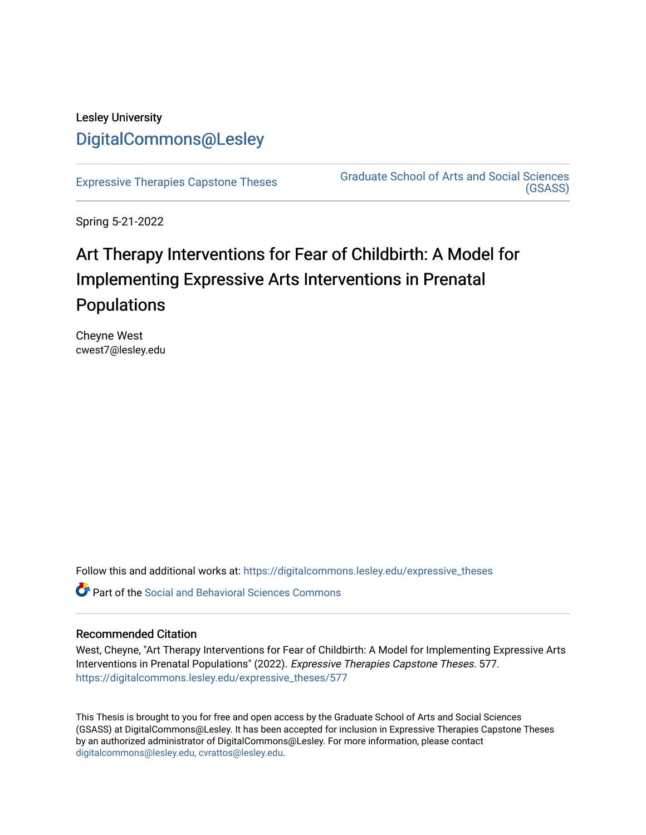## Lesley University [DigitalCommons@Lesley](https://digitalcommons.lesley.edu/)

[Expressive Therapies Capstone Theses](https://digitalcommons.lesley.edu/expressive_theses) Graduate School of Arts and Social Sciences [\(GSASS\)](https://digitalcommons.lesley.edu/gsass) 

Spring 5-21-2022

# Art Therapy Interventions for Fear of Childbirth: A Model for Implementing Expressive Arts Interventions in Prenatal Populations

Cheyne West cwest7@lesley.edu

Follow this and additional works at: [https://digitalcommons.lesley.edu/expressive\\_theses](https://digitalcommons.lesley.edu/expressive_theses?utm_source=digitalcommons.lesley.edu%2Fexpressive_theses%2F577&utm_medium=PDF&utm_campaign=PDFCoverPages)

Part of the [Social and Behavioral Sciences Commons](http://network.bepress.com/hgg/discipline/316?utm_source=digitalcommons.lesley.edu%2Fexpressive_theses%2F577&utm_medium=PDF&utm_campaign=PDFCoverPages) 

#### Recommended Citation

West, Cheyne, "Art Therapy Interventions for Fear of Childbirth: A Model for Implementing Expressive Arts Interventions in Prenatal Populations" (2022). Expressive Therapies Capstone Theses. 577. [https://digitalcommons.lesley.edu/expressive\\_theses/577](https://digitalcommons.lesley.edu/expressive_theses/577?utm_source=digitalcommons.lesley.edu%2Fexpressive_theses%2F577&utm_medium=PDF&utm_campaign=PDFCoverPages)

This Thesis is brought to you for free and open access by the Graduate School of Arts and Social Sciences (GSASS) at DigitalCommons@Lesley. It has been accepted for inclusion in Expressive Therapies Capstone Theses by an authorized administrator of DigitalCommons@Lesley. For more information, please contact [digitalcommons@lesley.edu, cvrattos@lesley.edu](mailto:digitalcommons@lesley.edu,%20cvrattos@lesley.edu).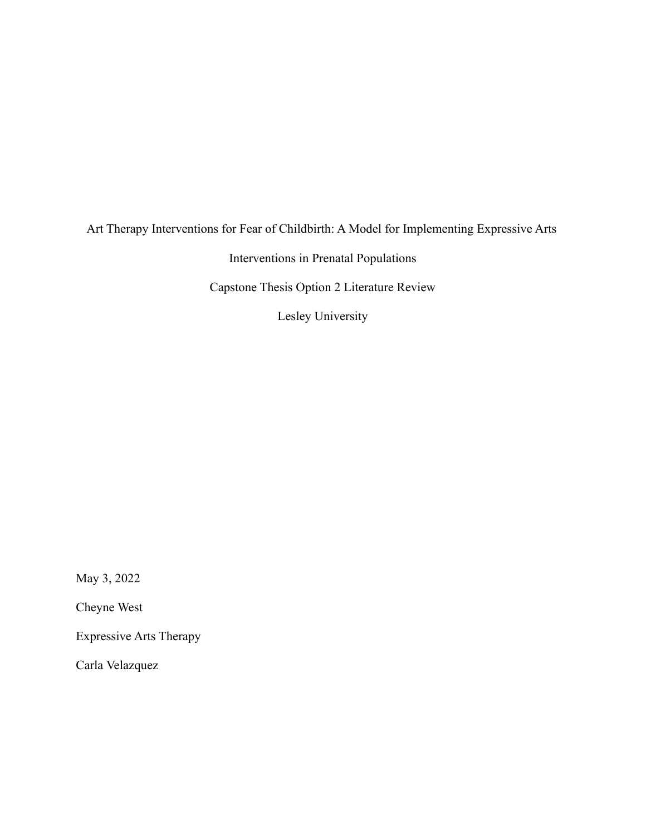### Art Therapy Interventions for Fear of Childbirth: A Model for Implementing Expressive Arts

Interventions in Prenatal Populations

Capstone Thesis Option 2 Literature Review

Lesley University

May 3, 2022

Cheyne West

Expressive Arts Therapy

Carla Velazquez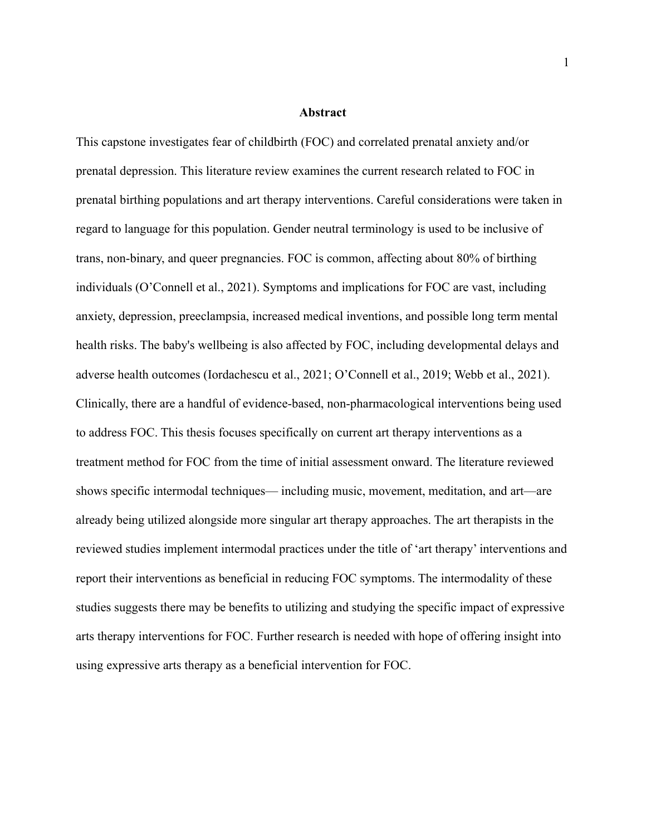#### **Abstract**

This capstone investigates fear of childbirth (FOC) and correlated prenatal anxiety and/or prenatal depression. This literature review examines the current research related to FOC in prenatal birthing populations and art therapy interventions. Careful considerations were taken in regard to language for this population. Gender neutral terminology is used to be inclusive of trans, non-binary, and queer pregnancies. FOC is common, affecting about 80% of birthing individuals (O'Connell et al., 2021). Symptoms and implications for FOC are vast, including anxiety, depression, preeclampsia, increased medical inventions, and possible long term mental health risks. The baby's wellbeing is also affected by FOC, including developmental delays and adverse health outcomes (Iordachescu et al., 2021; O'Connell et al., 2019; Webb et al., 2021). Clinically, there are a handful of evidence-based, non-pharmacological interventions being used to address FOC. This thesis focuses specifically on current art therapy interventions as a treatment method for FOC from the time of initial assessment onward. The literature reviewed shows specific intermodal techniques— including music, movement, meditation, and art—are already being utilized alongside more singular art therapy approaches. The art therapists in the reviewed studies implement intermodal practices under the title of 'art therapy' interventions and report their interventions as beneficial in reducing FOC symptoms. The intermodality of these studies suggests there may be benefits to utilizing and studying the specific impact of expressive arts therapy interventions for FOC. Further research is needed with hope of offering insight into using expressive arts therapy as a beneficial intervention for FOC.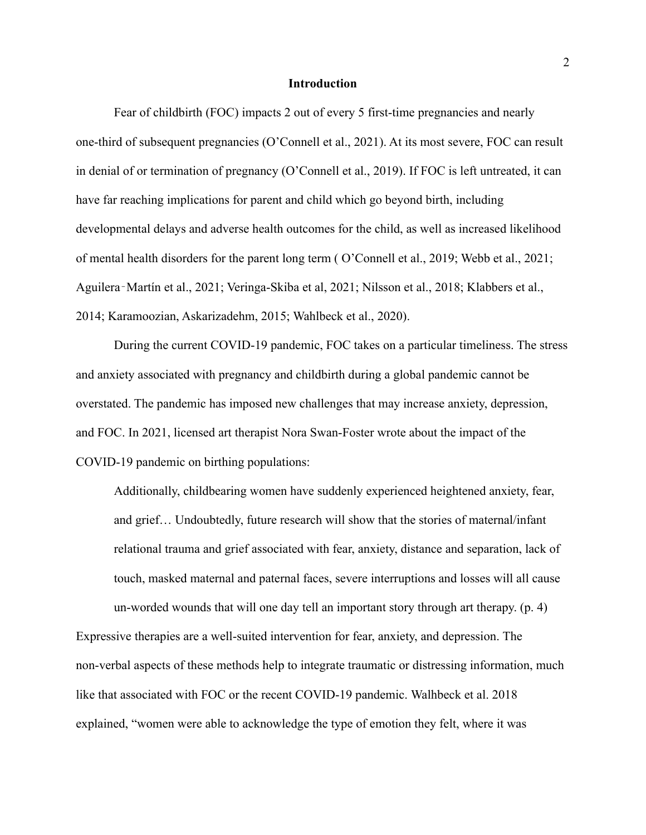#### **Introduction**

Fear of childbirth (FOC) impacts 2 out of every 5 first-time pregnancies and nearly one-third of subsequent pregnancies (O'Connell et al., 2021). At its most severe, FOC can result in denial of or termination of pregnancy (O'Connell et al., 2019). If FOC is left untreated, it can have far reaching implications for parent and child which go beyond birth, including developmental delays and adverse health outcomes for the child, as well as increased likelihood of mental health disorders for the parent long term ( O'Connell et al., 2019; Webb et al., 2021; Aguilera‐Martín et al., 2021; Veringa-Skiba et al, 2021; Nilsson et al., 2018; Klabbers et al., 2014; Karamoozian, Askarizadehm, 2015; Wahlbeck et al., 2020).

During the current COVID-19 pandemic, FOC takes on a particular timeliness. The stress and anxiety associated with pregnancy and childbirth during a global pandemic cannot be overstated. The pandemic has imposed new challenges that may increase anxiety, depression, and FOC. In 2021, licensed art therapist Nora Swan-Foster wrote about the impact of the COVID-19 pandemic on birthing populations:

Additionally, childbearing women have suddenly experienced heightened anxiety, fear, and grief… Undoubtedly, future research will show that the stories of maternal/infant relational trauma and grief associated with fear, anxiety, distance and separation, lack of touch, masked maternal and paternal faces, severe interruptions and losses will all cause un-worded wounds that will one day tell an important story through art therapy. (p. 4)

Expressive therapies are a well-suited intervention for fear, anxiety, and depression. The non-verbal aspects of these methods help to integrate traumatic or distressing information, much like that associated with FOC or the recent COVID-19 pandemic. Walhbeck et al. 2018 explained, "women were able to acknowledge the type of emotion they felt, where it was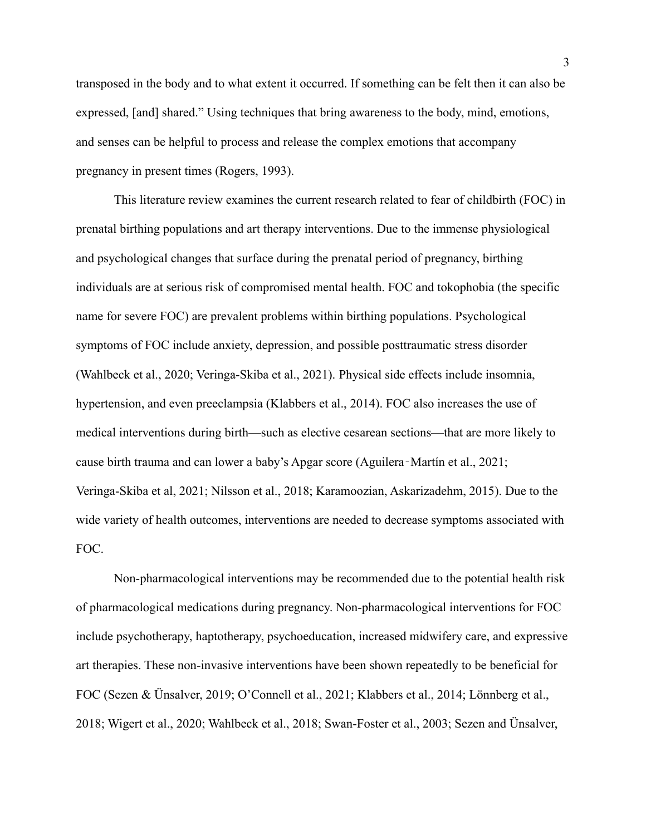transposed in the body and to what extent it occurred. If something can be felt then it can also be expressed, [and] shared." Using techniques that bring awareness to the body, mind, emotions, and senses can be helpful to process and release the complex emotions that accompany pregnancy in present times (Rogers, 1993).

This literature review examines the current research related to fear of childbirth (FOC) in prenatal birthing populations and art therapy interventions. Due to the immense physiological and psychological changes that surface during the prenatal period of pregnancy, birthing individuals are at serious risk of compromised mental health. FOC and tokophobia (the specific name for severe FOC) are prevalent problems within birthing populations. Psychological symptoms of FOC include anxiety, depression, and possible posttraumatic stress disorder (Wahlbeck et al., 2020; Veringa-Skiba et al., 2021). Physical side effects include insomnia, hypertension, and even preeclampsia (Klabbers et al., 2014). FOC also increases the use of medical interventions during birth—such as elective cesarean sections—that are more likely to cause birth trauma and can lower a baby's Apgar score (Aguilera‐Martín et al., 2021; Veringa-Skiba et al, 2021; Nilsson et al., 2018; Karamoozian, Askarizadehm, 2015). Due to the wide variety of health outcomes, interventions are needed to decrease symptoms associated with FOC.

Non-pharmacological interventions may be recommended due to the potential health risk of pharmacological medications during pregnancy. Non-pharmacological interventions for FOC include psychotherapy, haptotherapy, psychoeducation, increased midwifery care, and expressive art therapies. These non-invasive interventions have been shown repeatedly to be beneficial for FOC (Sezen & Ünsalver, 2019; O'Connell et al., 2021; Klabbers et al., 2014; Lönnberg et al., 2018; Wigert et al., 2020; Wahlbeck et al., 2018; Swan-Foster et al., 2003; Sezen and Ünsalver,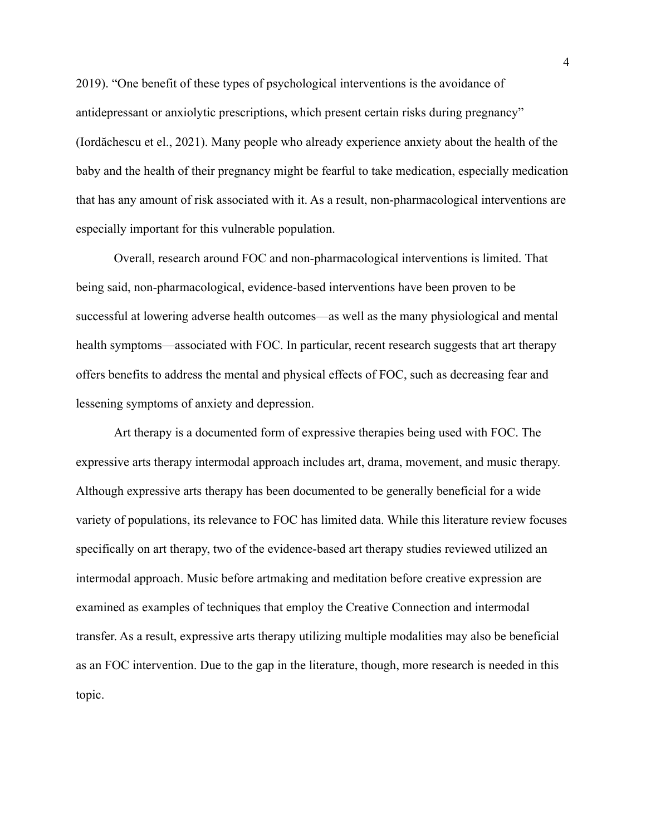2019). "One benefit of these types of psychological interventions is the avoidance of antidepressant or anxiolytic prescriptions, which present certain risks during pregnancy" (Iordăchescu et el., 2021). Many people who already experience anxiety about the health of the baby and the health of their pregnancy might be fearful to take medication, especially medication that has any amount of risk associated with it. As a result, non-pharmacological interventions are especially important for this vulnerable population.

Overall, research around FOC and non-pharmacological interventions is limited. That being said, non-pharmacological, evidence-based interventions have been proven to be successful at lowering adverse health outcomes—as well as the many physiological and mental health symptoms—associated with FOC. In particular, recent research suggests that art therapy offers benefits to address the mental and physical effects of FOC, such as decreasing fear and lessening symptoms of anxiety and depression.

Art therapy is a documented form of expressive therapies being used with FOC. The expressive arts therapy intermodal approach includes art, drama, movement, and music therapy. Although expressive arts therapy has been documented to be generally beneficial for a wide variety of populations, its relevance to FOC has limited data. While this literature review focuses specifically on art therapy, two of the evidence-based art therapy studies reviewed utilized an intermodal approach. Music before artmaking and meditation before creative expression are examined as examples of techniques that employ the Creative Connection and intermodal transfer. As a result, expressive arts therapy utilizing multiple modalities may also be beneficial as an FOC intervention. Due to the gap in the literature, though, more research is needed in this topic.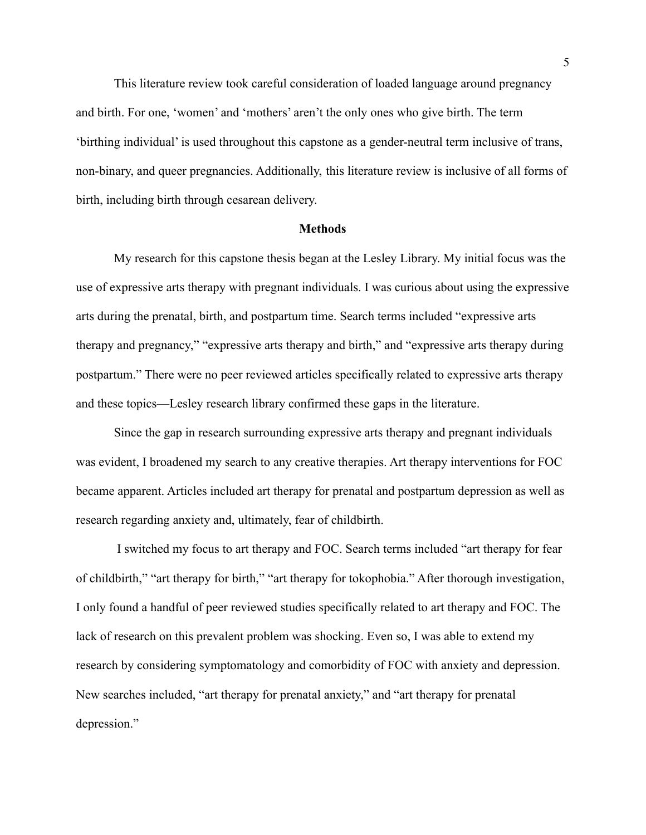This literature review took careful consideration of loaded language around pregnancy and birth. For one, 'women' and 'mothers' aren't the only ones who give birth. The term 'birthing individual' is used throughout this capstone as a gender-neutral term inclusive of trans, non-binary, and queer pregnancies. Additionally, this literature review is inclusive of all forms of birth, including birth through cesarean delivery.

#### **Methods**

My research for this capstone thesis began at the Lesley Library. My initial focus was the use of expressive arts therapy with pregnant individuals. I was curious about using the expressive arts during the prenatal, birth, and postpartum time. Search terms included "expressive arts therapy and pregnancy," "expressive arts therapy and birth," and "expressive arts therapy during postpartum." There were no peer reviewed articles specifically related to expressive arts therapy and these topics—Lesley research library confirmed these gaps in the literature.

Since the gap in research surrounding expressive arts therapy and pregnant individuals was evident, I broadened my search to any creative therapies. Art therapy interventions for FOC became apparent. Articles included art therapy for prenatal and postpartum depression as well as research regarding anxiety and, ultimately, fear of childbirth.

I switched my focus to art therapy and FOC. Search terms included "art therapy for fear of childbirth," "art therapy for birth," "art therapy for tokophobia." After thorough investigation, I only found a handful of peer reviewed studies specifically related to art therapy and FOC. The lack of research on this prevalent problem was shocking. Even so, I was able to extend my research by considering symptomatology and comorbidity of FOC with anxiety and depression. New searches included, "art therapy for prenatal anxiety," and "art therapy for prenatal depression."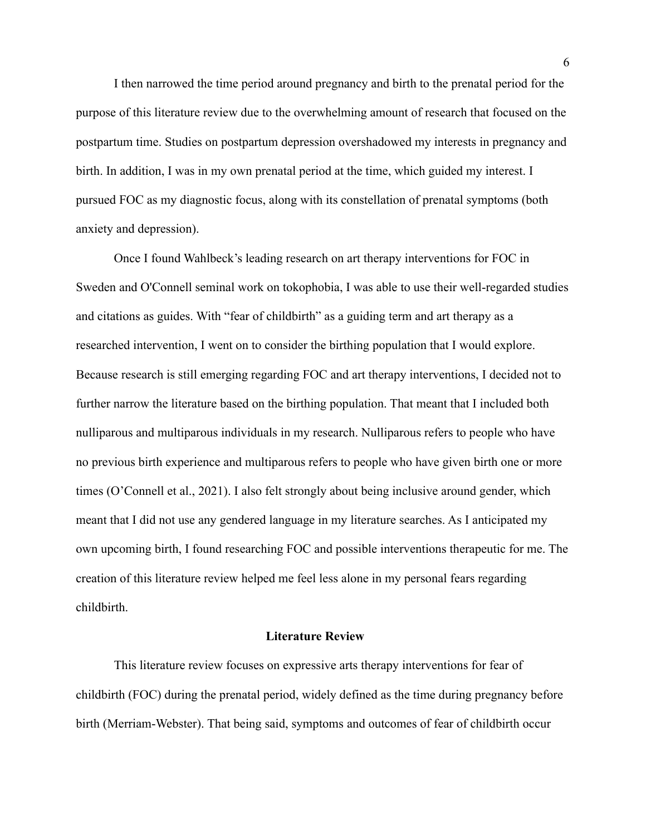I then narrowed the time period around pregnancy and birth to the prenatal period for the purpose of this literature review due to the overwhelming amount of research that focused on the postpartum time. Studies on postpartum depression overshadowed my interests in pregnancy and birth. In addition, I was in my own prenatal period at the time, which guided my interest. I pursued FOC as my diagnostic focus, along with its constellation of prenatal symptoms (both anxiety and depression).

Once I found Wahlbeck's leading research on art therapy interventions for FOC in Sweden and O'Connell seminal work on tokophobia, I was able to use their well-regarded studies and citations as guides. With "fear of childbirth" as a guiding term and art therapy as a researched intervention, I went on to consider the birthing population that I would explore. Because research is still emerging regarding FOC and art therapy interventions, I decided not to further narrow the literature based on the birthing population. That meant that I included both nulliparous and multiparous individuals in my research. Nulliparous refers to people who have no previous birth experience and multiparous refers to people who have given birth one or more times (O'Connell et al., 2021). I also felt strongly about being inclusive around gender, which meant that I did not use any gendered language in my literature searches. As I anticipated my own upcoming birth, I found researching FOC and possible interventions therapeutic for me. The creation of this literature review helped me feel less alone in my personal fears regarding childbirth.

#### **Literature Review**

This literature review focuses on expressive arts therapy interventions for fear of childbirth (FOC) during the prenatal period, widely defined as the time during pregnancy before birth (Merriam-Webster). That being said, symptoms and outcomes of fear of childbirth occur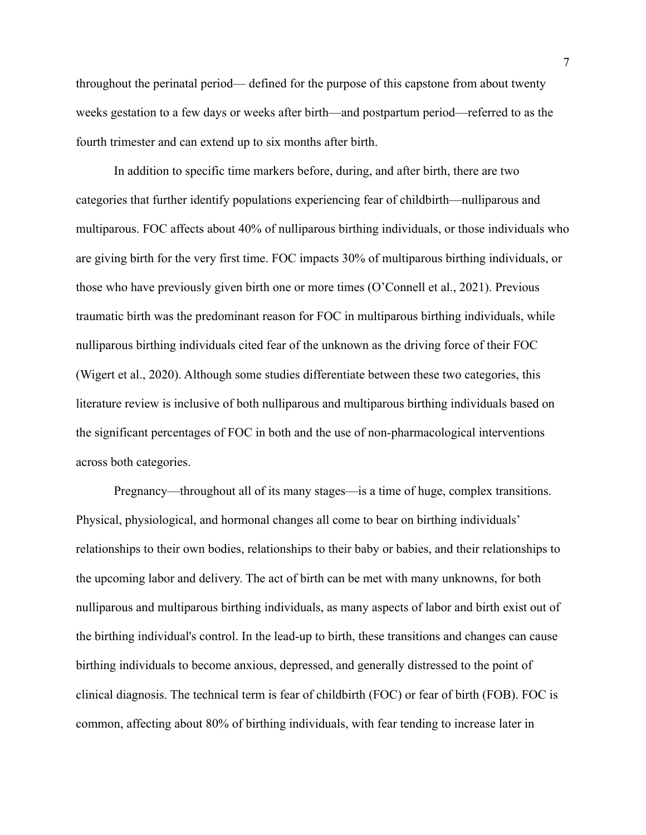throughout the perinatal period— defined for the purpose of this capstone from about twenty weeks gestation to a few days or weeks after birth—and postpartum period—referred to as the fourth trimester and can extend up to six months after birth.

In addition to specific time markers before, during, and after birth, there are two categories that further identify populations experiencing fear of childbirth—nulliparous and multiparous. FOC affects about 40% of nulliparous birthing individuals, or those individuals who are giving birth for the very first time. FOC impacts 30% of multiparous birthing individuals, or those who have previously given birth one or more times (O'Connell et al., 2021). Previous traumatic birth was the predominant reason for FOC in multiparous birthing individuals, while nulliparous birthing individuals cited fear of the unknown as the driving force of their FOC (Wigert et al., 2020). Although some studies differentiate between these two categories, this literature review is inclusive of both nulliparous and multiparous birthing individuals based on the significant percentages of FOC in both and the use of non-pharmacological interventions across both categories.

Pregnancy—throughout all of its many stages—is a time of huge, complex transitions. Physical, physiological, and hormonal changes all come to bear on birthing individuals' relationships to their own bodies, relationships to their baby or babies, and their relationships to the upcoming labor and delivery. The act of birth can be met with many unknowns, for both nulliparous and multiparous birthing individuals, as many aspects of labor and birth exist out of the birthing individual's control. In the lead-up to birth, these transitions and changes can cause birthing individuals to become anxious, depressed, and generally distressed to the point of clinical diagnosis. The technical term is fear of childbirth (FOC) or fear of birth (FOB). FOC is common, affecting about 80% of birthing individuals, with fear tending to increase later in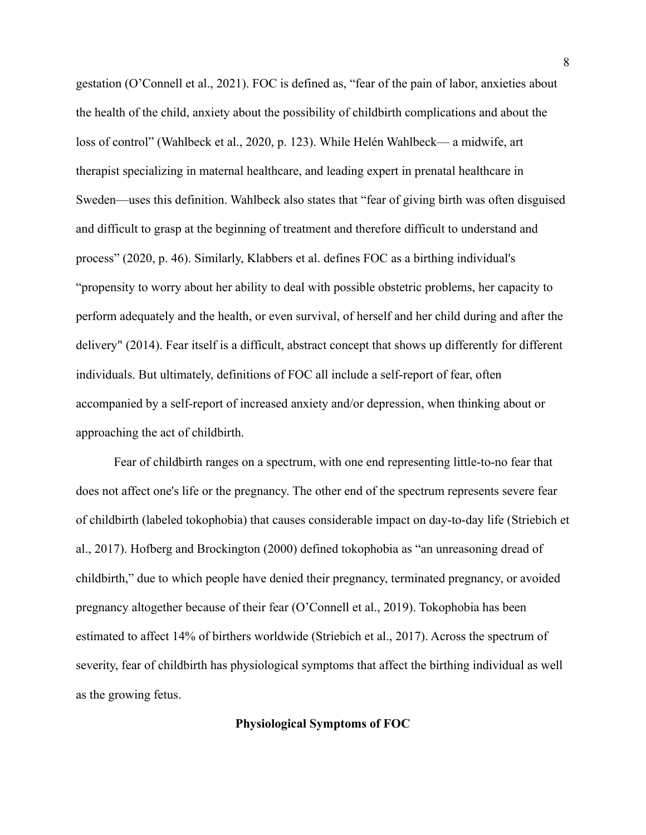gestation (O'Connell et al., 2021). FOC is defined as, "fear of the pain of labor, anxieties about the health of the child, anxiety about the possibility of childbirth complications and about the loss of control" (Wahlbeck et al., 2020, p. 123). While Helén Wahlbeck— a midwife, art therapist specializing in maternal healthcare, and leading expert in prenatal healthcare in Sweden—uses this definition. Wahlbeck also states that "fear of giving birth was often disguised and difficult to grasp at the beginning of treatment and therefore difficult to understand and process" (2020, p. 46). Similarly, Klabbers et al. defines FOC as a birthing individual's "propensity to worry about her ability to deal with possible obstetric problems, her capacity to perform adequately and the health, or even survival, of herself and her child during and after the delivery" (2014). Fear itself is a difficult, abstract concept that shows up differently for different individuals. But ultimately, definitions of FOC all include a self-report of fear, often accompanied by a self-report of increased anxiety and/or depression, when thinking about or approaching the act of childbirth.

Fear of childbirth ranges on a spectrum, with one end representing little-to-no fear that does not affect one's life or the pregnancy. The other end of the spectrum represents severe fear of childbirth (labeled tokophobia) that causes considerable impact on day-to-day life (Striebich et al., 2017). Hofberg and Brockington (2000) defined tokophobia as "an unreasoning dread of childbirth," due to which people have denied their pregnancy, terminated pregnancy, or avoided pregnancy altogether because of their fear (O'Connell et al., 2019). Tokophobia has been estimated to affect 14% of birthers worldwide (Striebich et al., 2017). Across the spectrum of severity, fear of childbirth has physiological symptoms that affect the birthing individual as well as the growing fetus.

#### **Physiological Symptoms of FOC**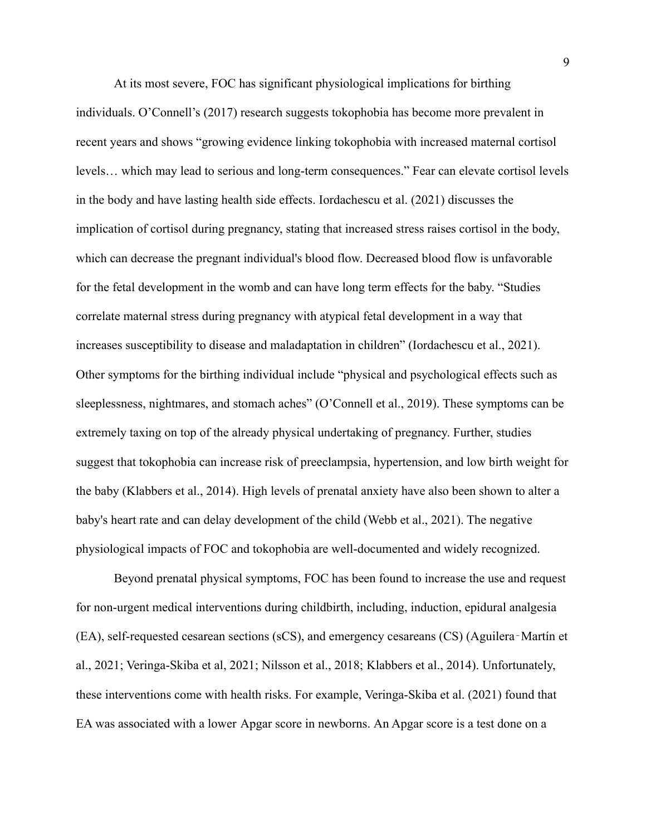At its most severe, FOC has significant physiological implications for birthing individuals. O'Connell's (2017) research suggests tokophobia has become more prevalent in recent years and shows "growing evidence linking tokophobia with increased maternal cortisol levels… which may lead to serious and long-term consequences." Fear can elevate cortisol levels in the body and have lasting health side effects. Iordachescu et al. (2021) discusses the implication of cortisol during pregnancy, stating that increased stress raises cortisol in the body, which can decrease the pregnant individual's blood flow. Decreased blood flow is unfavorable for the fetal development in the womb and can have long term effects for the baby. "Studies correlate maternal stress during pregnancy with atypical fetal development in a way that increases susceptibility to disease and maladaptation in children" (Iordachescu et al., 2021). Other symptoms for the birthing individual include "physical and psychological effects such as sleeplessness, nightmares, and stomach aches" (O'Connell et al., 2019). These symptoms can be extremely taxing on top of the already physical undertaking of pregnancy. Further, studies suggest that tokophobia can increase risk of preeclampsia, hypertension, and low birth weight for the baby (Klabbers et al., 2014). High levels of prenatal anxiety have also been shown to alter a baby's heart rate and can delay development of the child (Webb et al., 2021). The negative physiological impacts of FOC and tokophobia are well-documented and widely recognized.

Beyond prenatal physical symptoms, FOC has been found to increase the use and request for non-urgent medical interventions during childbirth, including, induction, epidural analgesia (EA), self-requested cesarean sections (sCS), and emergency cesareans (CS) (Aguilera‐Martín et al., 2021; Veringa-Skiba et al, 2021; Nilsson et al., 2018; Klabbers et al., 2014). Unfortunately, these interventions come with health risks. For example, Veringa-Skiba et al. (2021) found that EA was associated with a lower [Apgar score](https://www-sciencedirect-com.ezproxyles.flo.org/topics/medicine-and-dentistry/apgar-score) in newborns. An Apgar score is a test done on a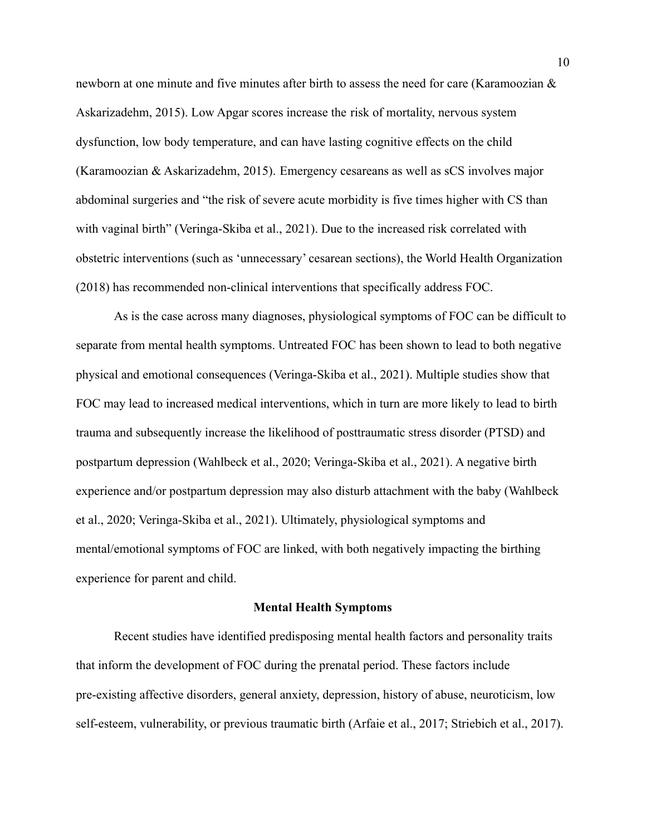newborn at one minute and five minutes after birth to assess the need for care (Karamoozian & Askarizadehm, 2015). Low Apgar scores increase the risk of mortality, nervous system dysfunction, low body temperature, and can have lasting cognitive effects on the child (Karamoozian & Askarizadehm, 2015). Emergency cesareans as well as sCS involves major abdominal surgeries and "the risk of severe acute morbidity is five times higher with CS than with vaginal birth" (Veringa-Skiba et al., 2021). Due to the increased risk correlated with obstetric interventions (such as 'unnecessary' cesarean sections), the World Health Organization (2018) has recommended non-clinical interventions that specifically address FOC.

As is the case across many diagnoses, physiological symptoms of FOC can be difficult to separate from mental health symptoms. Untreated FOC has been shown to lead to both negative physical and emotional consequences (Veringa-Skiba et al., 2021). Multiple studies show that FOC may lead to increased medical interventions, which in turn are more likely to lead to birth trauma and subsequently increase the likelihood of posttraumatic stress disorder (PTSD) and postpartum depression (Wahlbeck et al., 2020; Veringa-Skiba et al., 2021). A negative birth experience and/or postpartum depression may also disturb attachment with the baby (Wahlbeck et al., 2020; Veringa-Skiba et al., 2021). Ultimately, physiological symptoms and mental/emotional symptoms of FOC are linked, with both negatively impacting the birthing experience for parent and child.

#### **Mental Health Symptoms**

Recent studies have identified predisposing mental health factors and personality traits that inform the development of FOC during the prenatal period. These factors include pre-existing affective disorders, general anxiety, depression, history of abuse, neuroticism, low self-esteem, vulnerability, or previous traumatic birth (Arfaie et al., 2017; Striebich et al., 2017).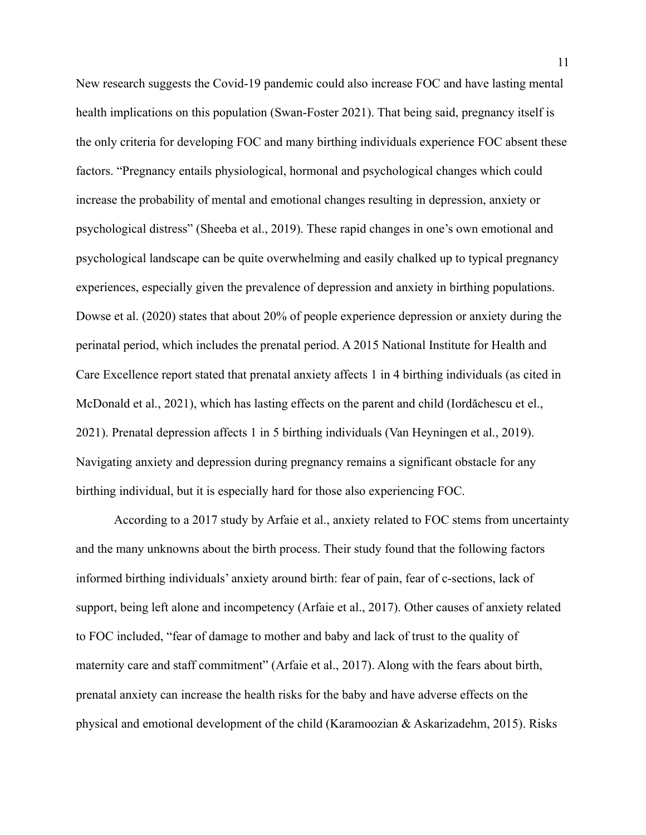New research suggests the Covid-19 pandemic could also increase FOC and have lasting mental health implications on this population (Swan-Foster 2021). That being said, pregnancy itself is the only criteria for developing FOC and many birthing individuals experience FOC absent these factors. "Pregnancy entails physiological, hormonal and psychological changes which could increase the probability of mental and emotional changes resulting in depression, anxiety or psychological distress" (Sheeba et al., 2019). These rapid changes in one's own emotional and psychological landscape can be quite overwhelming and easily chalked up to typical pregnancy experiences, especially given the prevalence of depression and anxiety in birthing populations. Dowse et al. (2020) states that about 20% of people experience depression or anxiety during the perinatal period, which includes the prenatal period. A 2015 National Institute for Health and Care Excellence report stated that prenatal anxiety affects 1 in 4 birthing individuals (as cited in McDonald et al., 2021), which has lasting effects on the parent and child (Iordăchescu et el., 2021). Prenatal depression affects 1 in 5 birthing individuals (Van Heyningen et al., 2019). Navigating anxiety and depression during pregnancy remains a significant obstacle for any birthing individual, but it is especially hard for those also experiencing FOC.

According to a 2017 study by Arfaie et al., anxiety related to FOC stems from uncertainty and the many unknowns about the birth process. Their study found that the following factors informed birthing individuals' anxiety around birth: fear of pain, fear of c-sections, lack of support, being left alone and incompetency (Arfaie et al., 2017). Other causes of anxiety related to FOC included, "fear of damage to mother and baby and lack of trust to the quality of maternity care and staff commitment" (Arfaie et al., 2017). Along with the fears about birth, prenatal anxiety can increase the health risks for the baby and have adverse effects on the physical and emotional development of the child (Karamoozian & Askarizadehm, 2015). Risks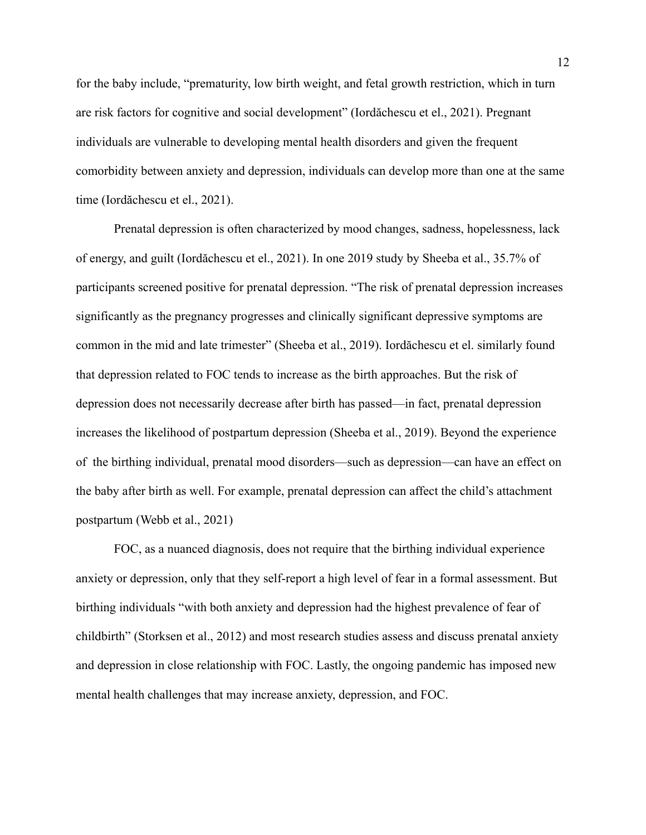for the baby include, "prematurity, low birth weight, and fetal growth restriction, which in turn are risk factors for cognitive and social development" (Iordăchescu et el., 2021). Pregnant individuals are vulnerable to developing mental health disorders and given the frequent comorbidity between anxiety and depression, individuals can develop more than one at the same time (Iordăchescu et el., 2021).

Prenatal depression is often characterized by mood changes, sadness, hopelessness, lack of energy, and guilt (Iordăchescu et el., 2021). In one 2019 study by Sheeba et al., 35.7% of participants screened positive for prenatal depression. "The risk of prenatal depression increases significantly as the pregnancy progresses and clinically significant depressive symptoms are common in the mid and late trimester" (Sheeba et al., 2019). Iordăchescu et el. similarly found that depression related to FOC tends to increase as the birth approaches. But the risk of depression does not necessarily decrease after birth has passed—in fact, prenatal depression increases the likelihood of postpartum depression (Sheeba et al., 2019). Beyond the experience of the birthing individual, prenatal mood disorders—such as depression—can have an effect on the baby after birth as well. For example, prenatal depression can affect the child's attachment postpartum (Webb et al., 2021)

FOC, as a nuanced diagnosis, does not require that the birthing individual experience anxiety or depression, only that they self-report a high level of fear in a formal assessment. But birthing individuals "with both anxiety and depression had the highest prevalence of fear of childbirth" (Storksen et al., 2012) and most research studies assess and discuss prenatal anxiety and depression in close relationship with FOC. Lastly, the ongoing pandemic has imposed new mental health challenges that may increase anxiety, depression, and FOC.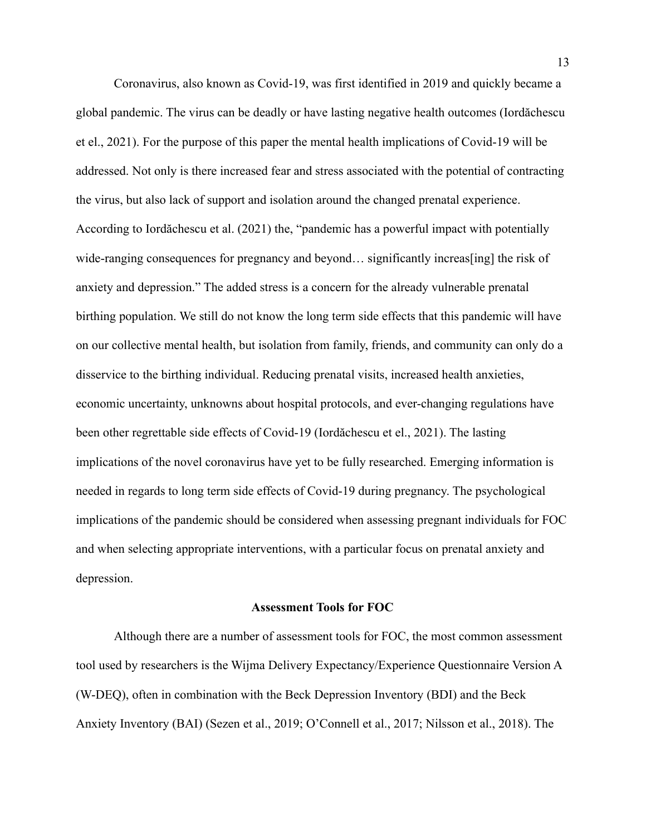Coronavirus, also known as Covid-19, was first identified in 2019 and quickly became a global pandemic. The virus can be deadly or have lasting negative health outcomes (Iordăchescu et el., 2021). For the purpose of this paper the mental health implications of Covid-19 will be addressed. Not only is there increased fear and stress associated with the potential of contracting the virus, but also lack of support and isolation around the changed prenatal experience. According to Iordăchescu et al. (2021) the, "pandemic has a powerful impact with potentially wide-ranging consequences for pregnancy and beyond… significantly increas [ing] the risk of anxiety and depression." The added stress is a concern for the already vulnerable prenatal birthing population. We still do not know the long term side effects that this pandemic will have on our collective mental health, but isolation from family, friends, and community can only do a disservice to the birthing individual. Reducing prenatal visits, increased health anxieties, economic uncertainty, unknowns about hospital protocols, and ever-changing regulations have been other regrettable side effects of Covid-19 (Iordăchescu et el., 2021). The lasting implications of the novel coronavirus have yet to be fully researched. Emerging information is needed in regards to long term side effects of Covid-19 during pregnancy. The psychological implications of the pandemic should be considered when assessing pregnant individuals for FOC and when selecting appropriate interventions, with a particular focus on prenatal anxiety and depression.

#### **Assessment Tools for FOC**

Although there are a number of assessment tools for FOC, the most common assessment tool used by researchers is the Wijma Delivery Expectancy/Experience Questionnaire Version A (W-DEQ), often in combination with the Beck Depression Inventory (BDI) and the Beck Anxiety Inventory (BAI) (Sezen et al., 2019; O'Connell et al., 2017; Nilsson et al., 2018). The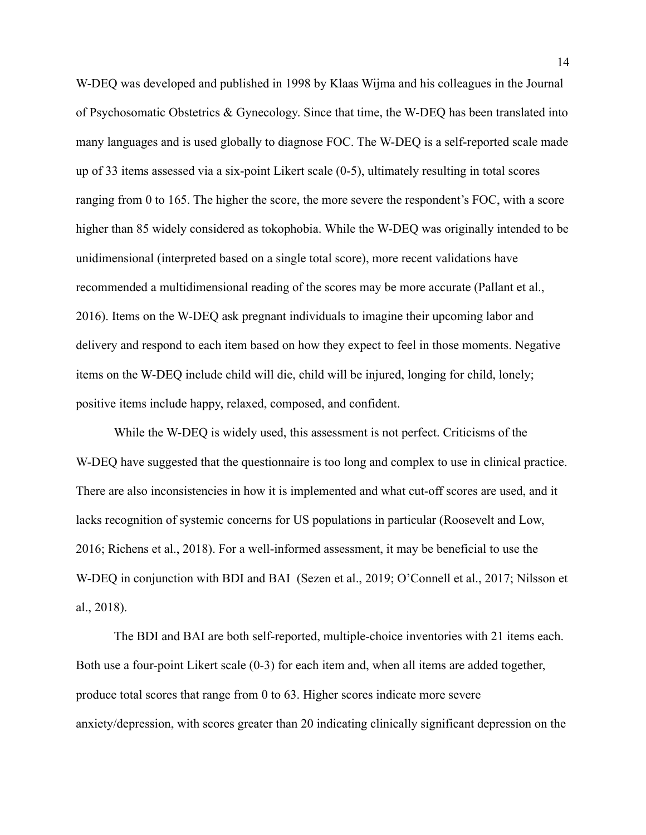W-DEQ was developed and published in 1998 by Klaas Wijma and his colleagues in the Journal of Psychosomatic Obstetrics & Gynecology. Since that time, the W-DEQ has been translated into many languages and is used globally to diagnose FOC. The W-DEQ is a self-reported scale made up of 33 items assessed via a six-point Likert scale (0-5), ultimately resulting in total scores ranging from 0 to 165. The higher the score, the more severe the respondent's FOC, with a score higher than 85 widely considered as tokophobia. While the W-DEQ was originally intended to be unidimensional (interpreted based on a single total score), more recent validations have recommended a multidimensional reading of the scores may be more accurate (Pallant et al., 2016). Items on the W-DEQ ask pregnant individuals to imagine their upcoming labor and delivery and respond to each item based on how they expect to feel in those moments. Negative items on the W-DEQ include child will die, child will be injured, longing for child, lonely; positive items include happy, relaxed, composed, and confident.

While the W-DEQ is widely used, this assessment is not perfect. Criticisms of the W-DEQ have suggested that the questionnaire is too long and complex to use in clinical practice. There are also inconsistencies in how it is implemented and what cut-off scores are used, and it lacks recognition of systemic concerns for US populations in particular (Roosevelt and Low, 2016; Richens et al., 2018). For a well-informed assessment, it may be beneficial to use the W-DEQ in conjunction with BDI and BAI (Sezen et al., 2019; O'Connell et al., 2017; Nilsson et al., 2018).

The BDI and BAI are both self-reported, multiple-choice inventories with 21 items each. Both use a four-point Likert scale (0-3) for each item and, when all items are added together, produce total scores that range from 0 to 63. Higher scores indicate more severe anxiety/depression, with scores greater than 20 indicating clinically significant depression on the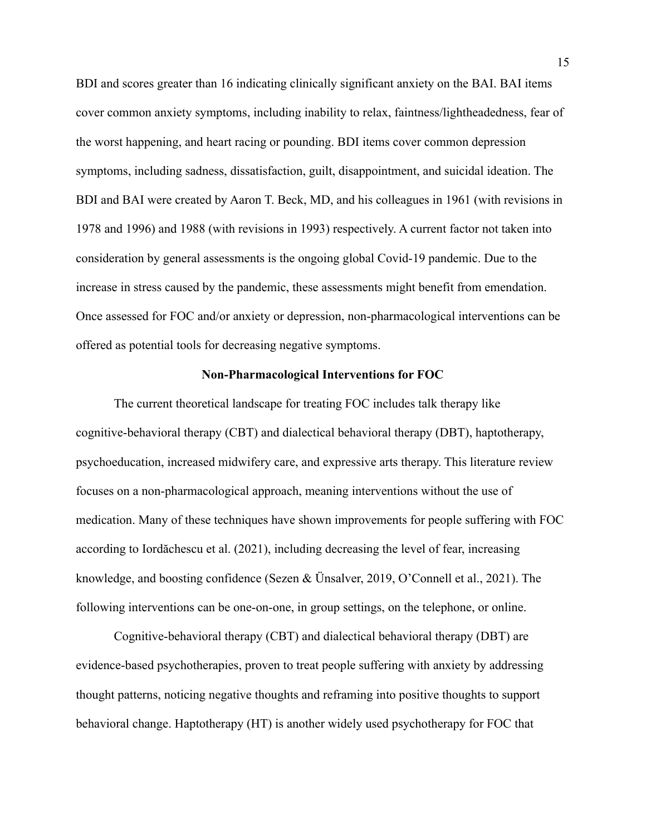BDI and scores greater than 16 indicating clinically significant anxiety on the BAI. BAI items cover common anxiety symptoms, including inability to relax, faintness/lightheadedness, fear of the worst happening, and heart racing or pounding. BDI items cover common depression symptoms, including sadness, dissatisfaction, guilt, disappointment, and suicidal ideation. The BDI and BAI were created by Aaron T. Beck, MD, and his colleagues in 1961 (with revisions in 1978 and 1996) and 1988 (with revisions in 1993) respectively. A current factor not taken into consideration by general assessments is the ongoing global Covid-19 pandemic. Due to the increase in stress caused by the pandemic, these assessments might benefit from emendation. Once assessed for FOC and/or anxiety or depression, non-pharmacological interventions can be offered as potential tools for decreasing negative symptoms.

#### **Non-Pharmacological Interventions for FOC**

The current theoretical landscape for treating FOC includes talk therapy like cognitive-behavioral therapy (CBT) and dialectical behavioral therapy (DBT), haptotherapy, psychoeducation, increased midwifery care, and expressive arts therapy. This literature review focuses on a non-pharmacological approach, meaning interventions without the use of medication. Many of these techniques have shown improvements for people suffering with FOC according to Iordăchescu et al. (2021), including decreasing the level of fear, increasing knowledge, and boosting confidence (Sezen & Ünsalver, 2019, O'Connell et al., 2021). The following interventions can be one-on-one, in group settings, on the telephone, or online.

Cognitive-behavioral therapy (CBT) and dialectical behavioral therapy (DBT) are evidence-based psychotherapies, proven to treat people suffering with anxiety by addressing thought patterns, noticing negative thoughts and reframing into positive thoughts to support behavioral change. Haptotherapy (HT) is another widely used psychotherapy for FOC that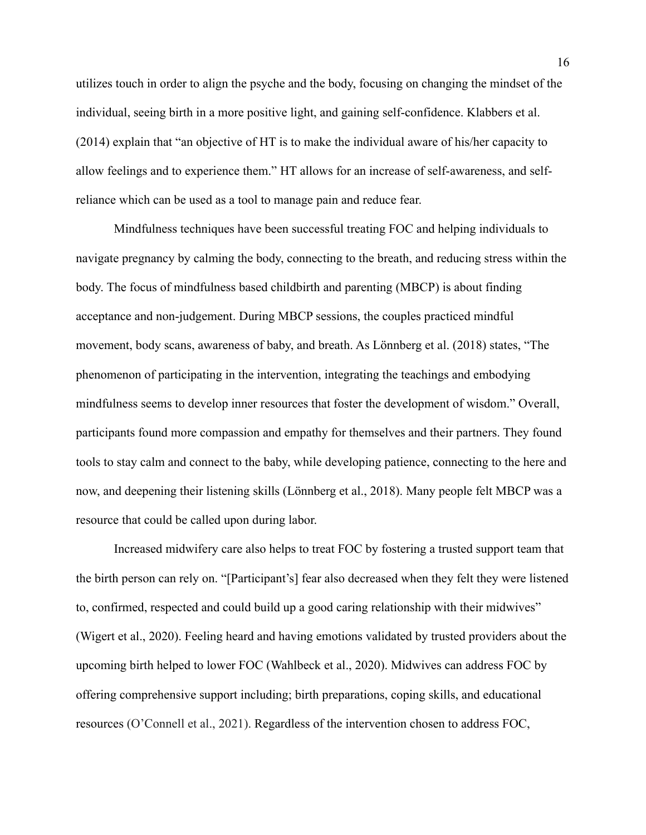utilizes touch in order to align the psyche and the body, focusing on changing the mindset of the individual, seeing birth in a more positive light, and gaining self-confidence. Klabbers et al. (2014) explain that "an objective of HT is to make the individual aware of his/her capacity to allow feelings and to experience them." HT allows for an increase of self-awareness, and selfreliance which can be used as a tool to manage pain and reduce fear.

Mindfulness techniques have been successful treating FOC and helping individuals to navigate pregnancy by calming the body, connecting to the breath, and reducing stress within the body. The focus of mindfulness based childbirth and parenting (MBCP) is about finding acceptance and non-judgement. During MBCP sessions, the couples practiced mindful movement, body scans, awareness of baby, and breath. As Lönnberg et al. (2018) states, "The phenomenon of participating in the intervention, integrating the teachings and embodying mindfulness seems to develop inner resources that foster the development of wisdom." Overall, participants found more compassion and empathy for themselves and their partners. They found tools to stay calm and connect to the baby, while developing patience, connecting to the here and now, and deepening their listening skills (Lönnberg et al., 2018). Many people felt MBCP was a resource that could be called upon during labor.

Increased midwifery care also helps to treat FOC by fostering a trusted support team that the birth person can rely on. "[Participant's] fear also decreased when they felt they were listened to, confirmed, respected and could build up a good caring relationship with their midwives" (Wigert et al., 2020). Feeling heard and having emotions validated by trusted providers about the upcoming birth helped to lower FOC (Wahlbeck et al., 2020). Midwives can address FOC by offering comprehensive support including; birth preparations, coping skills, and educational resources (O'Connell et al., 2021). Regardless of the intervention chosen to address FOC,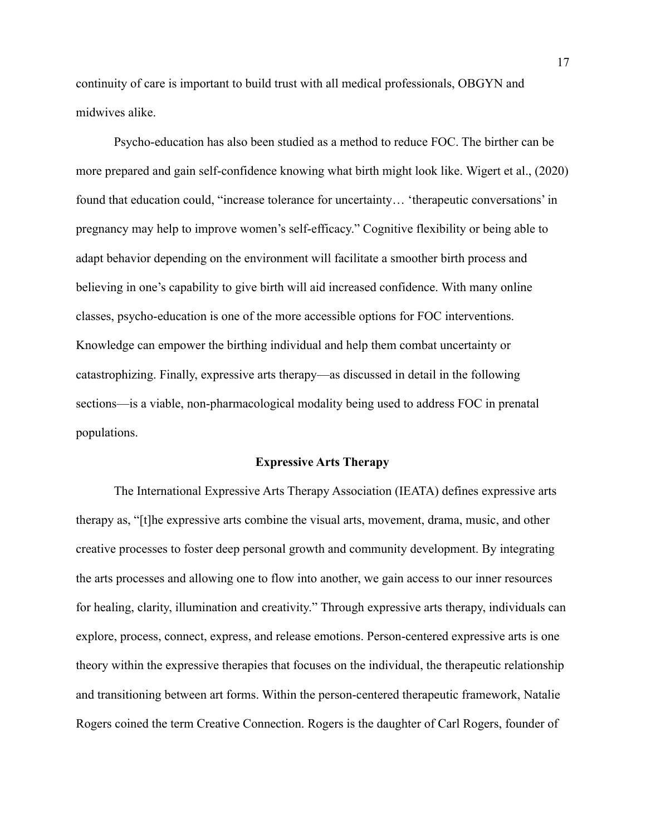continuity of care is important to build trust with all medical professionals, OBGYN and midwives alike.

Psycho-education has also been studied as a method to reduce FOC. The birther can be more prepared and gain self-confidence knowing what birth might look like. Wigert et al., (2020) found that education could, "increase tolerance for uncertainty… 'therapeutic conversations' in pregnancy may help to improve women's self-efficacy." Cognitive flexibility or being able to adapt behavior depending on the environment will facilitate a smoother birth process and believing in one's capability to give birth will aid increased confidence. With many online classes, psycho-education is one of the more accessible options for FOC interventions. Knowledge can empower the birthing individual and help them combat uncertainty or catastrophizing. Finally, expressive arts therapy—as discussed in detail in the following sections—is a viable, non-pharmacological modality being used to address FOC in prenatal populations.

#### **Expressive Arts Therapy**

The International Expressive Arts Therapy Association (IEATA) defines expressive arts therapy as, "[t]he expressive arts combine the visual arts, movement, drama, music, and other creative processes to foster deep personal growth and community development. By integrating the arts processes and allowing one to flow into another, we gain access to our inner resources for healing, clarity, illumination and creativity." Through expressive arts therapy, individuals can explore, process, connect, express, and release emotions. Person-centered expressive arts is one theory within the expressive therapies that focuses on the individual, the therapeutic relationship and transitioning between art forms. Within the person-centered therapeutic framework, Natalie Rogers coined the term Creative Connection. Rogers is the daughter of Carl Rogers, founder of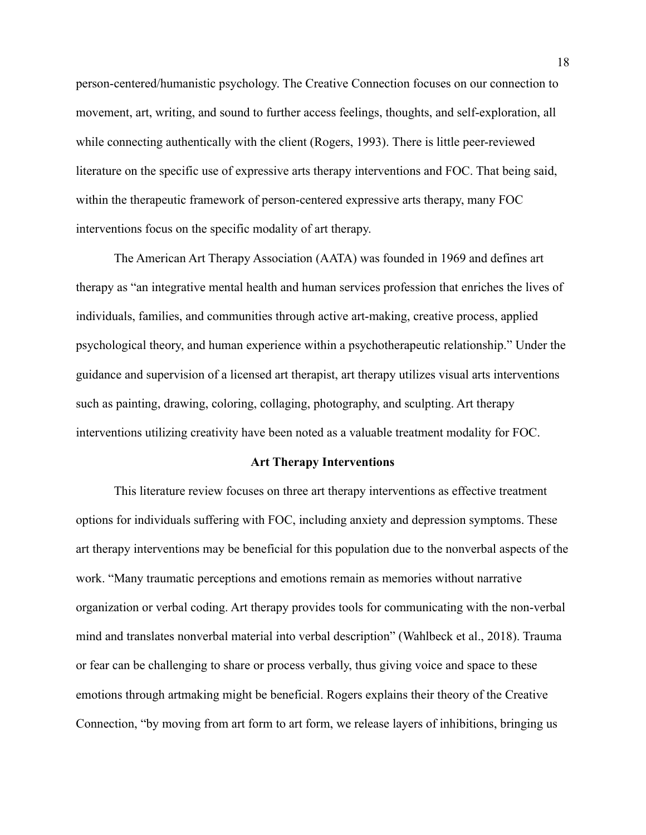person-centered/humanistic psychology. The Creative Connection focuses on our connection to movement, art, writing, and sound to further access feelings, thoughts, and self-exploration, all while connecting authentically with the client (Rogers, 1993). There is little peer-reviewed literature on the specific use of expressive arts therapy interventions and FOC. That being said, within the therapeutic framework of person-centered expressive arts therapy, many FOC interventions focus on the specific modality of art therapy.

The American Art Therapy Association (AATA) was founded in 1969 and defines art therapy as "an integrative mental health and human services profession that enriches the lives of individuals, families, and communities through active art-making, creative process, applied psychological theory, and human experience within a psychotherapeutic relationship." Under the guidance and supervision of a licensed art therapist, art therapy utilizes visual arts interventions such as painting, drawing, coloring, collaging, photography, and sculpting. Art therapy interventions utilizing creativity have been noted as a valuable treatment modality for FOC.

#### **Art Therapy Interventions**

This literature review focuses on three art therapy interventions as effective treatment options for individuals suffering with FOC, including anxiety and depression symptoms. These art therapy interventions may be beneficial for this population due to the nonverbal aspects of the work. "Many traumatic perceptions and emotions remain as memories without narrative organization or verbal coding. Art therapy provides tools for communicating with the non-verbal mind and translates nonverbal material into verbal description" (Wahlbeck et al., 2018). Trauma or fear can be challenging to share or process verbally, thus giving voice and space to these emotions through artmaking might be beneficial. Rogers explains their theory of the Creative Connection, "by moving from art form to art form, we release layers of inhibitions, bringing us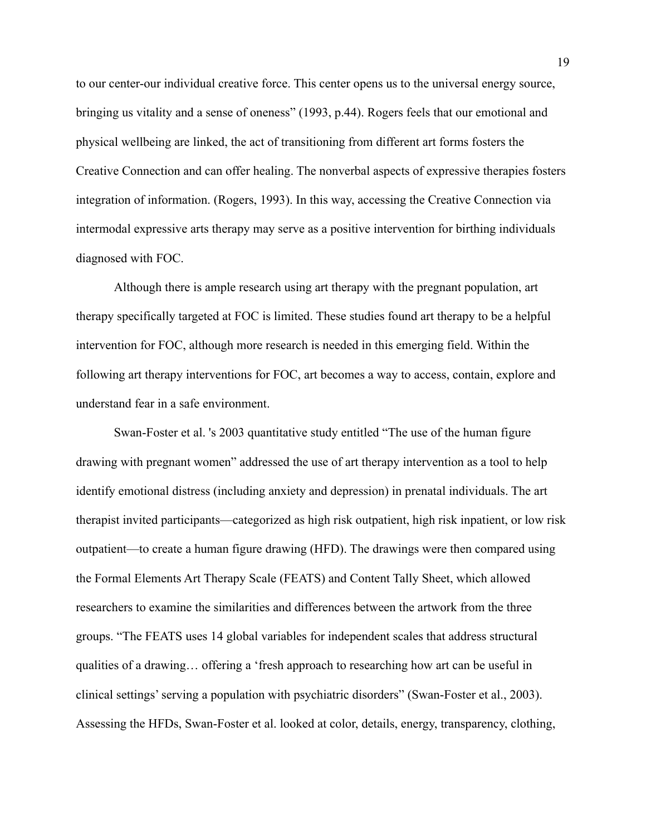to our center-our individual creative force. This center opens us to the universal energy source, bringing us vitality and a sense of oneness" (1993, p.44). Rogers feels that our emotional and physical wellbeing are linked, the act of transitioning from different art forms fosters the Creative Connection and can offer healing. The nonverbal aspects of expressive therapies fosters integration of information. (Rogers, 1993). In this way, accessing the Creative Connection via intermodal expressive arts therapy may serve as a positive intervention for birthing individuals diagnosed with FOC.

Although there is ample research using art therapy with the pregnant population, art therapy specifically targeted at FOC is limited. These studies found art therapy to be a helpful intervention for FOC, although more research is needed in this emerging field. Within the following art therapy interventions for FOC, art becomes a way to access, contain, explore and understand fear in a safe environment.

Swan-Foster et al. 's 2003 quantitative study entitled "The use of the human figure drawing with pregnant women" addressed the use of art therapy intervention as a tool to help identify emotional distress (including anxiety and depression) in prenatal individuals. The art therapist invited participants—categorized as high risk outpatient, high risk inpatient, or low risk outpatient—to create a human figure drawing (HFD). The drawings were then compared using the Formal Elements Art Therapy Scale (FEATS) and Content Tally Sheet, which allowed researchers to examine the similarities and differences between the artwork from the three groups. "The FEATS uses 14 global variables for independent scales that address structural qualities of a drawing… offering a 'fresh approach to researching how art can be useful in clinical settings' serving a population with psychiatric disorders" (Swan-Foster et al., 2003). Assessing the HFDs, Swan-Foster et al. looked at color, details, energy, transparency, clothing,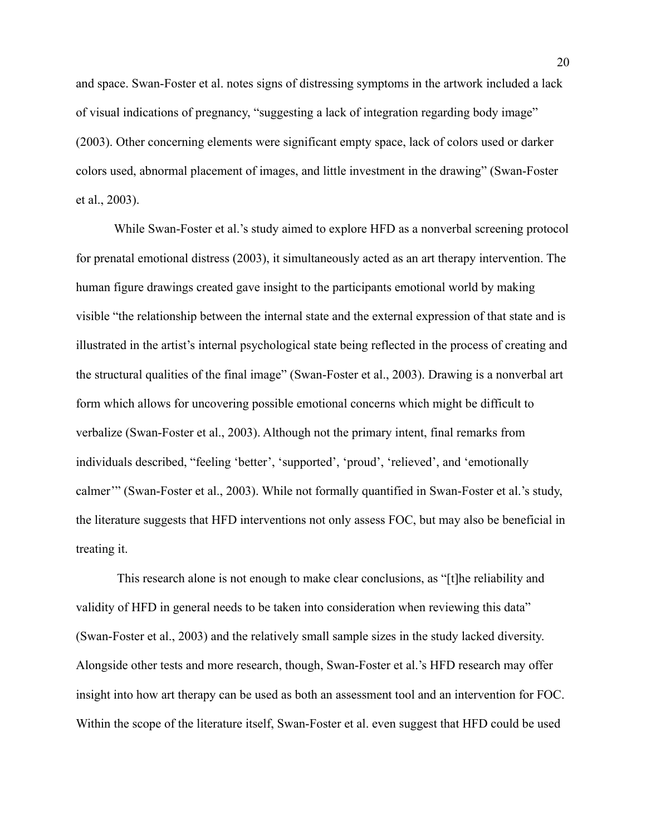and space. Swan-Foster et al. notes signs of distressing symptoms in the artwork included a lack of visual indications of pregnancy, "suggesting a lack of integration regarding body image" (2003). Other concerning elements were significant empty space, lack of colors used or darker colors used, abnormal placement of images, and little investment in the drawing" (Swan-Foster et al., 2003).

While Swan-Foster et al.'s study aimed to explore HFD as a nonverbal screening protocol for prenatal emotional distress (2003), it simultaneously acted as an art therapy intervention. The human figure drawings created gave insight to the participants emotional world by making visible "the relationship between the internal state and the external expression of that state and is illustrated in the artist's internal psychological state being reflected in the process of creating and the structural qualities of the final image" (Swan-Foster et al., 2003). Drawing is a nonverbal art form which allows for uncovering possible emotional concerns which might be difficult to verbalize (Swan-Foster et al., 2003). Although not the primary intent, final remarks from individuals described, "feeling 'better', 'supported', 'proud', 'relieved', and 'emotionally calmer'" (Swan-Foster et al., 2003). While not formally quantified in Swan-Foster et al.'s study, the literature suggests that HFD interventions not only assess FOC, but may also be beneficial in treating it.

This research alone is not enough to make clear conclusions, as "[t]he reliability and validity of HFD in general needs to be taken into consideration when reviewing this data" (Swan-Foster et al., 2003) and the relatively small sample sizes in the study lacked diversity. Alongside other tests and more research, though, Swan-Foster et al.'s HFD research may offer insight into how art therapy can be used as both an assessment tool and an intervention for FOC. Within the scope of the literature itself, Swan-Foster et al. even suggest that HFD could be used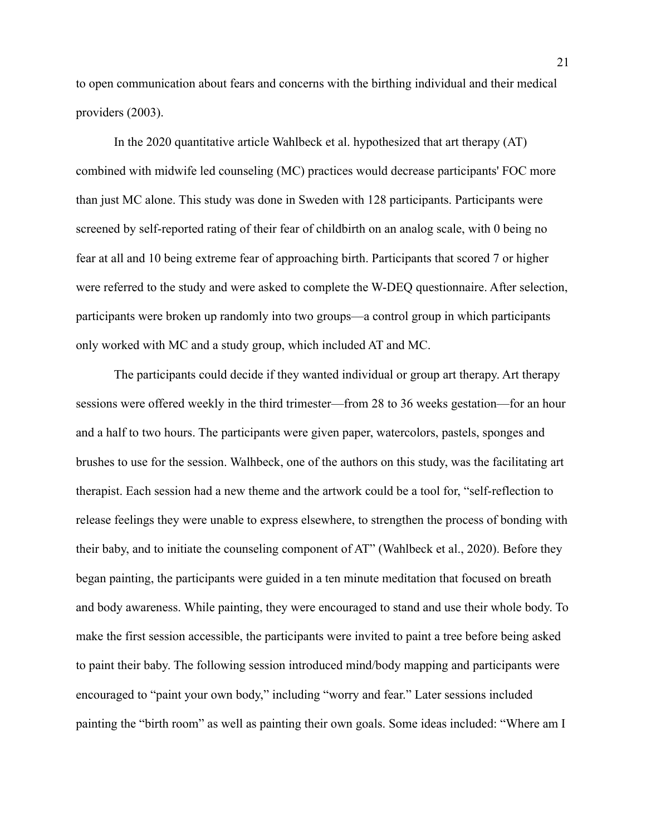to open communication about fears and concerns with the birthing individual and their medical providers (2003).

In the 2020 quantitative article Wahlbeck et al. hypothesized that art therapy (AT) combined with midwife led counseling (MC) practices would decrease participants' FOC more than just MC alone. This study was done in Sweden with 128 participants. Participants were screened by self-reported rating of their fear of childbirth on an analog scale, with 0 being no fear at all and 10 being extreme fear of approaching birth. Participants that scored 7 or higher were referred to the study and were asked to complete the W-DEQ questionnaire. After selection, participants were broken up randomly into two groups—a control group in which participants only worked with MC and a study group, which included AT and MC.

The participants could decide if they wanted individual or group art therapy. Art therapy sessions were offered weekly in the third trimester—from 28 to 36 weeks gestation—for an hour and a half to two hours. The participants were given paper, watercolors, pastels, sponges and brushes to use for the session. Walhbeck, one of the authors on this study, was the facilitating art therapist. Each session had a new theme and the artwork could be a tool for, "self-reflection to release feelings they were unable to express elsewhere, to strengthen the process of bonding with their baby, and to initiate the counseling component of AT" (Wahlbeck et al., 2020). Before they began painting, the participants were guided in a ten minute meditation that focused on breath and body awareness. While painting, they were encouraged to stand and use their whole body. To make the first session accessible, the participants were invited to paint a tree before being asked to paint their baby. The following session introduced mind/body mapping and participants were encouraged to "paint your own body," including "worry and fear." Later sessions included painting the "birth room" as well as painting their own goals. Some ideas included: "Where am I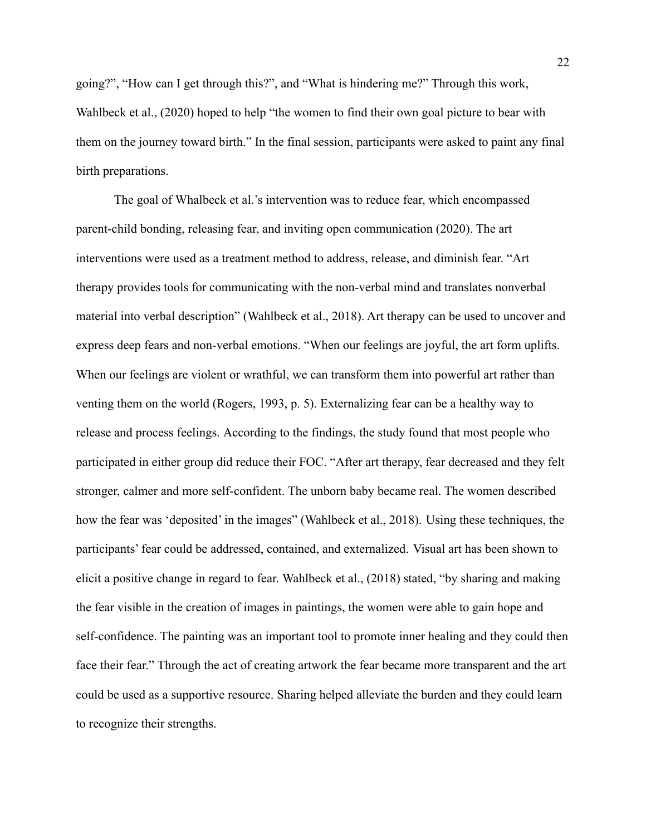going?", "How can I get through this?", and "What is hindering me?" Through this work, Wahlbeck et al., (2020) hoped to help "the women to find their own goal picture to bear with them on the journey toward birth." In the final session, participants were asked to paint any final birth preparations.

The goal of Whalbeck et al.'s intervention was to reduce fear, which encompassed parent-child bonding, releasing fear, and inviting open communication (2020). The art interventions were used as a treatment method to address, release, and diminish fear. "Art therapy provides tools for communicating with the non-verbal mind and translates nonverbal material into verbal description" (Wahlbeck et al., 2018). Art therapy can be used to uncover and express deep fears and non-verbal emotions. "When our feelings are joyful, the art form uplifts. When our feelings are violent or wrathful, we can transform them into powerful art rather than venting them on the world (Rogers, 1993, p. 5). Externalizing fear can be a healthy way to release and process feelings. According to the findings, the study found that most people who participated in either group did reduce their FOC. "After art therapy, fear decreased and they felt stronger, calmer and more self-confident. The unborn baby became real. The women described how the fear was 'deposited' in the images" (Wahlbeck et al., 2018). Using these techniques, the participants' fear could be addressed, contained, and externalized. Visual art has been shown to elicit a positive change in regard to fear. Wahlbeck et al., (2018) stated, "by sharing and making the fear visible in the creation of images in paintings, the women were able to gain hope and self-confidence. The painting was an important tool to promote inner healing and they could then face their fear." Through the act of creating artwork the fear became more transparent and the art could be used as a supportive resource. Sharing helped alleviate the burden and they could learn to recognize their strengths.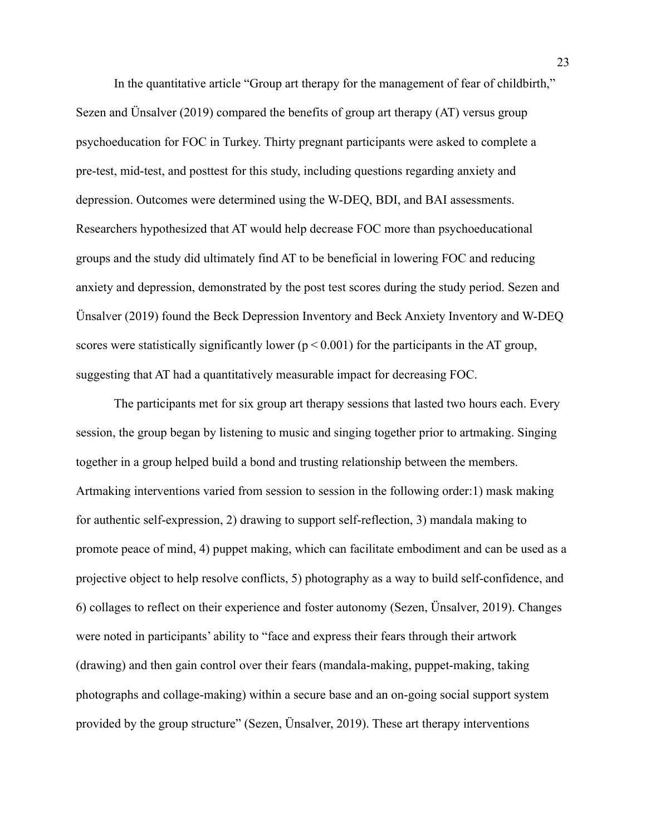In the quantitative article "Group art therapy for the management of fear of childbirth," Sezen and Ünsalver (2019) compared the benefits of group art therapy (AT) versus group psychoeducation for FOC in Turkey. Thirty pregnant participants were asked to complete a pre-test, mid-test, and posttest for this study, including questions regarding anxiety and depression. Outcomes were determined using the W-DEQ, BDI, and BAI assessments. Researchers hypothesized that AT would help decrease FOC more than psychoeducational groups and the study did ultimately find AT to be beneficial in lowering FOC and reducing anxiety and depression, demonstrated by the post test scores during the study period. Sezen and Ünsalver (2019) found the Beck Depression Inventory and Beck Anxiety Inventory and W-DEQ scores were statistically significantly lower ( $p < 0.001$ ) for the participants in the AT group, suggesting that AT had a quantitatively measurable impact for decreasing FOC.

The participants met for six group art therapy sessions that lasted two hours each. Every session, the group began by listening to music and singing together prior to artmaking. Singing together in a group helped build a bond and trusting relationship between the members. Artmaking interventions varied from session to session in the following order:1) mask making for authentic self-expression, 2) drawing to support self-reflection, 3) mandala making to promote peace of mind, 4) puppet making, which can facilitate embodiment and can be used as a projective object to help resolve conflicts, 5) photography as a way to build self-confidence, and 6) collages to reflect on their experience and foster autonomy (Sezen, Ünsalver, 2019). Changes were noted in participants' ability to "face and express their fears through their artwork (drawing) and then gain control over their fears (mandala-making, puppet-making, taking photographs and collage-making) within a secure base and an on-going social support system provided by the group structure" (Sezen, Ünsalver, 2019). These art therapy interventions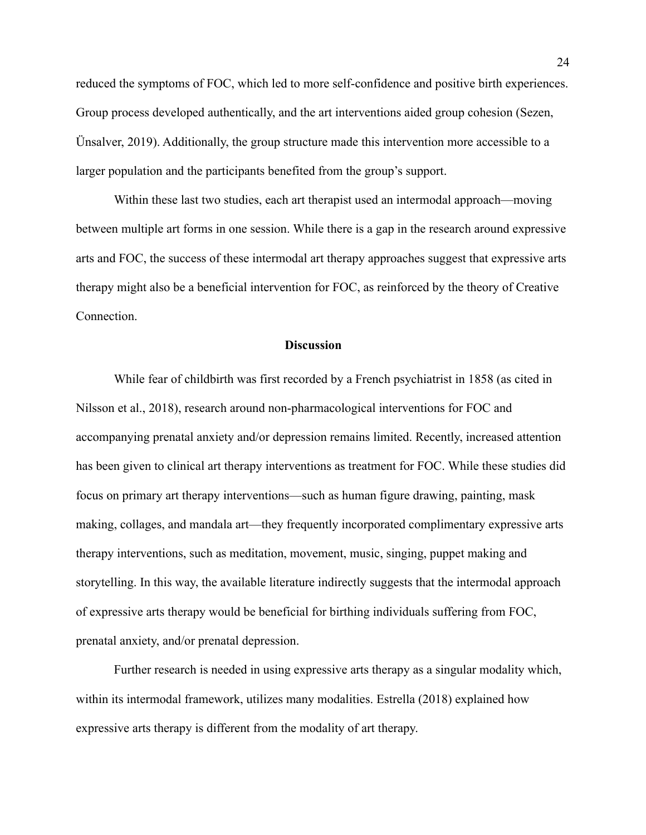reduced the symptoms of FOC, which led to more self-confidence and positive birth experiences. Group process developed authentically, and the art interventions aided group cohesion (Sezen, Ünsalver, 2019). Additionally, the group structure made this intervention more accessible to a larger population and the participants benefited from the group's support.

Within these last two studies, each art therapist used an intermodal approach—moving between multiple art forms in one session. While there is a gap in the research around expressive arts and FOC, the success of these intermodal art therapy approaches suggest that expressive arts therapy might also be a beneficial intervention for FOC, as reinforced by the theory of Creative Connection.

#### **Discussion**

While fear of childbirth was first recorded by a French psychiatrist in 1858 (as cited in Nilsson et al., 2018), research around non-pharmacological interventions for FOC and accompanying prenatal anxiety and/or depression remains limited. Recently, increased attention has been given to clinical art therapy interventions as treatment for FOC. While these studies did focus on primary art therapy interventions—such as human figure drawing, painting, mask making, collages, and mandala art—they frequently incorporated complimentary expressive arts therapy interventions, such as meditation, movement, music, singing, puppet making and storytelling. In this way, the available literature indirectly suggests that the intermodal approach of expressive arts therapy would be beneficial for birthing individuals suffering from FOC, prenatal anxiety, and/or prenatal depression.

Further research is needed in using expressive arts therapy as a singular modality which, within its intermodal framework, utilizes many modalities. Estrella (2018) explained how expressive arts therapy is different from the modality of art therapy.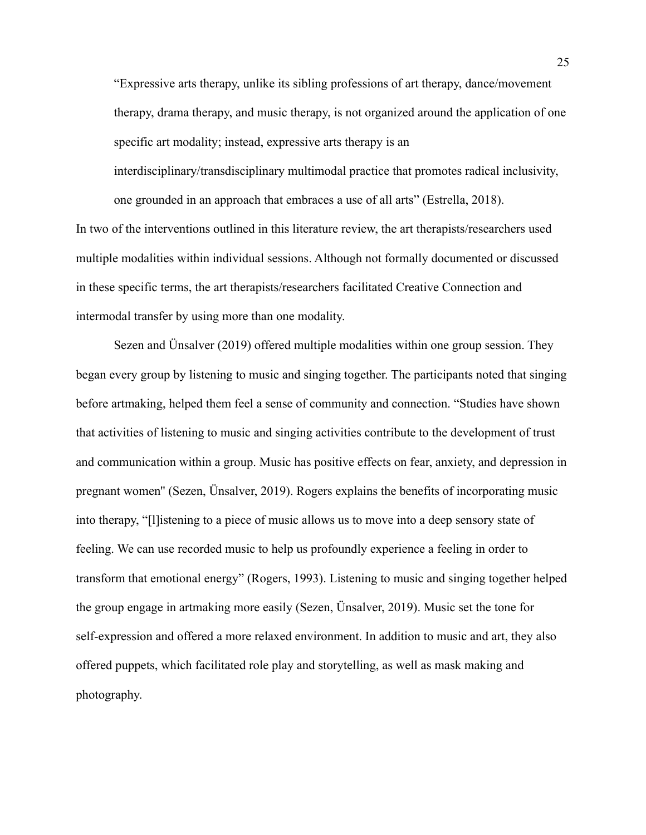"Expressive arts therapy, unlike its sibling professions of art therapy, dance/movement therapy, drama therapy, and music therapy, is not organized around the application of one specific art modality; instead, expressive arts therapy is an interdisciplinary/transdisciplinary multimodal practice that promotes radical inclusivity, one grounded in an approach that embraces a use of all arts" (Estrella, 2018).

In two of the interventions outlined in this literature review, the art therapists/researchers used multiple modalities within individual sessions. Although not formally documented or discussed in these specific terms, the art therapists/researchers facilitated Creative Connection and intermodal transfer by using more than one modality.

Sezen and Ünsalver (2019) offered multiple modalities within one group session. They began every group by listening to music and singing together. The participants noted that singing before artmaking, helped them feel a sense of community and connection. "Studies have shown that activities of listening to music and singing activities contribute to the development of trust and communication within a group. Music has positive effects on fear, anxiety, and depression in pregnant women'' (Sezen, Ünsalver, 2019). Rogers explains the benefits of incorporating music into therapy, "[l]istening to a piece of music allows us to move into a deep sensory state of feeling. We can use recorded music to help us profoundly experience a feeling in order to transform that emotional energy" (Rogers, 1993). Listening to music and singing together helped the group engage in artmaking more easily (Sezen, Ünsalver, 2019). Music set the tone for self-expression and offered a more relaxed environment. In addition to music and art, they also offered puppets, which facilitated role play and storytelling, as well as mask making and photography.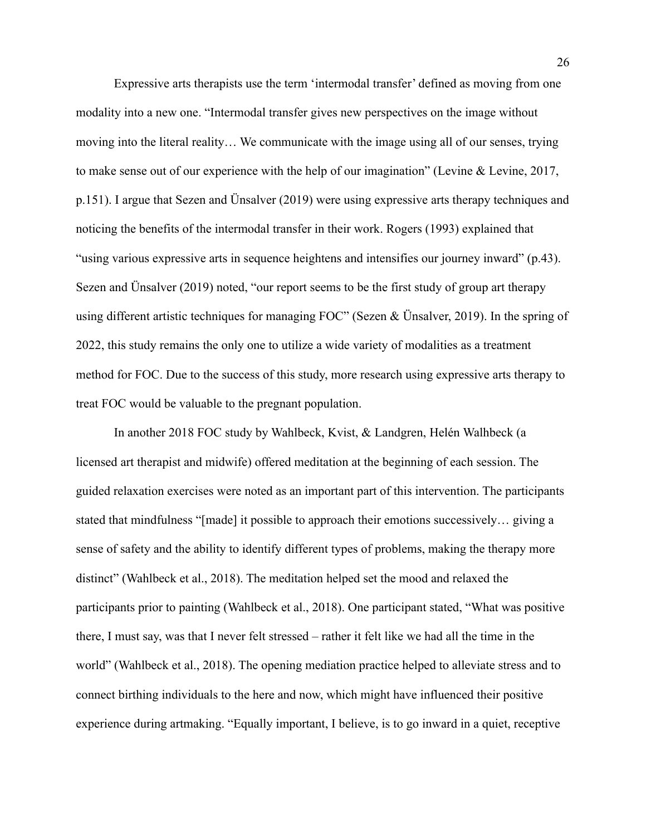Expressive arts therapists use the term 'intermodal transfer' defined as moving from one modality into a new one. "Intermodal transfer gives new perspectives on the image without moving into the literal reality… We communicate with the image using all of our senses, trying to make sense out of our experience with the help of our imagination" (Levine & Levine, 2017, p.151). I argue that Sezen and Ünsalver (2019) were using expressive arts therapy techniques and noticing the benefits of the intermodal transfer in their work. Rogers (1993) explained that "using various expressive arts in sequence heightens and intensifies our journey inward" (p.43). Sezen and Ünsalver (2019) noted, "our report seems to be the first study of group art therapy using different artistic techniques for managing FOC" (Sezen & Ünsalver, 2019). In the spring of 2022, this study remains the only one to utilize a wide variety of modalities as a treatment method for FOC. Due to the success of this study, more research using expressive arts therapy to treat FOC would be valuable to the pregnant population.

In another 2018 FOC study by Wahlbeck, Kvist, & Landgren, Helén Walhbeck (a licensed art therapist and midwife) offered meditation at the beginning of each session. The guided relaxation exercises were noted as an important part of this intervention. The participants stated that mindfulness "[made] it possible to approach their emotions successively… giving a sense of safety and the ability to identify different types of problems, making the therapy more distinct" (Wahlbeck et al., 2018). The meditation helped set the mood and relaxed the participants prior to painting (Wahlbeck et al., 2018). One participant stated, "What was positive there, I must say, was that I never felt stressed – rather it felt like we had all the time in the world" (Wahlbeck et al., 2018). The opening mediation practice helped to alleviate stress and to connect birthing individuals to the here and now, which might have influenced their positive experience during artmaking. "Equally important, I believe, is to go inward in a quiet, receptive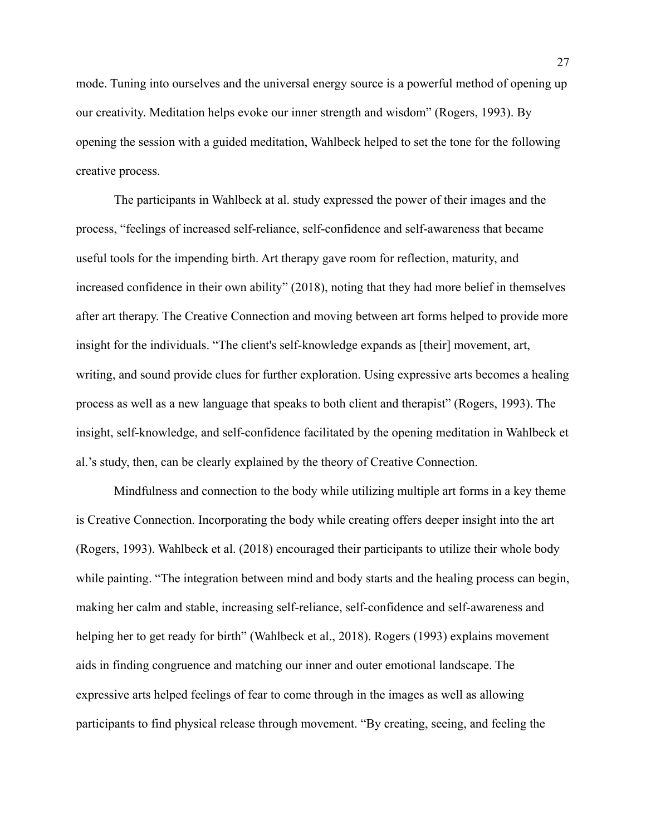mode. Tuning into ourselves and the universal energy source is a powerful method of opening up our creativity. Meditation helps evoke our inner strength and wisdom" (Rogers, 1993). By opening the session with a guided meditation, Wahlbeck helped to set the tone for the following creative process.

The participants in Wahlbeck at al. study expressed the power of their images and the process, "feelings of increased self-reliance, self-confidence and self-awareness that became useful tools for the impending birth. Art therapy gave room for reflection, maturity, and increased confidence in their own ability" (2018), noting that they had more belief in themselves after art therapy. The Creative Connection and moving between art forms helped to provide more insight for the individuals. "The client's self-knowledge expands as [their] movement, art, writing, and sound provide clues for further exploration. Using expressive arts becomes a healing process as well as a new language that speaks to both client and therapist" (Rogers, 1993). The insight, self-knowledge, and self-confidence facilitated by the opening meditation in Wahlbeck et al.'s study, then, can be clearly explained by the theory of Creative Connection.

Mindfulness and connection to the body while utilizing multiple art forms in a key theme is Creative Connection. Incorporating the body while creating offers deeper insight into the art (Rogers, 1993). Wahlbeck et al. (2018) encouraged their participants to utilize their whole body while painting. "The integration between mind and body starts and the healing process can begin, making her calm and stable, increasing self-reliance, self-confidence and [self-awareness](https://www.sciencedirect.com/topics/nursing-and-health-professions/self-awareness) and helping her to get ready for birth" (Wahlbeck et al., 2018). Rogers (1993) explains movement aids in finding congruence and matching our inner and outer emotional landscape. The expressive arts helped feelings of fear to come through in the images as well as allowing participants to find physical release through movement. "By creating, seeing, and feeling the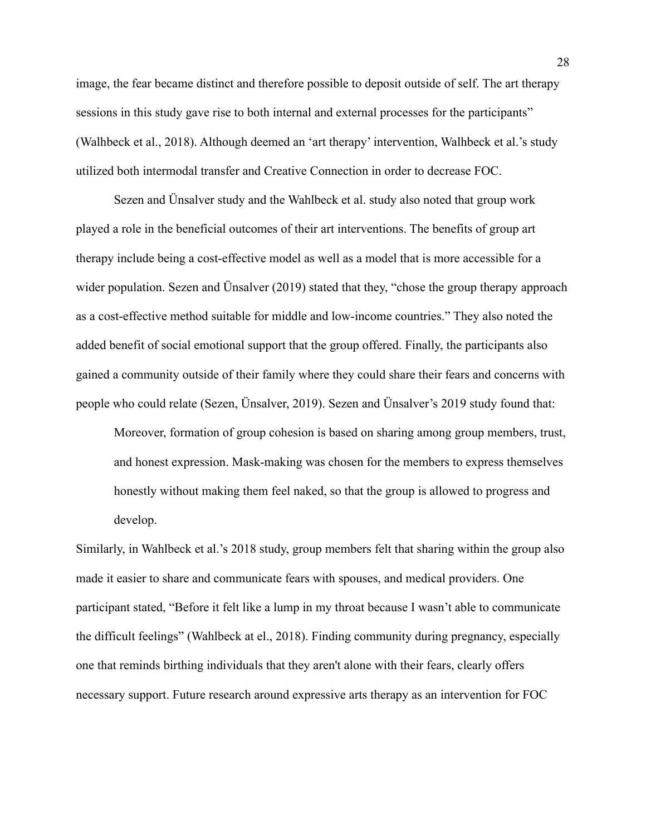image, the fear became distinct and therefore possible to deposit outside of self. The art therapy sessions in this study gave rise to both internal and external processes for the participants" (Walhbeck et al., 2018). Although deemed an 'art therapy' intervention, Walhbeck et al.'s study utilized both intermodal transfer and Creative Connection in order to decrease FOC.

Sezen and Ünsalver study and the Wahlbeck et al. study also noted that group work played a role in the beneficial outcomes of their art interventions. The benefits of group art therapy include being a cost-effective model as well as a model that is more accessible for a wider population. Sezen and Unsalver (2019) stated that they, "chose the group therapy approach as a cost-effective method suitable for middle and low-income countries." They also noted the added benefit of social emotional support that the group offered. Finally, the participants also gained a community outside of their family where they could share their fears and concerns with people who could relate (Sezen, Ünsalver, 2019). Sezen and Ünsalver's 2019 study found that:

Moreover, formation of group cohesion is based on sharing among group members, trust, and honest expression. Mask-making was chosen for the members to express themselves honestly without making them feel naked, so that the group is allowed to progress and develop.

Similarly, in Wahlbeck et al.'s 2018 study, group members felt that sharing within the group also made it easier to share and communicate fears with spouses, and medical providers. One participant stated, "Before it felt like a lump in my throat because I wasn't able to communicate the difficult feelings" (Wahlbeck at el., 2018). Finding community during pregnancy, especially one that reminds birthing individuals that they aren't alone with their fears, clearly offers necessary support. Future research around expressive arts therapy as an intervention for FOC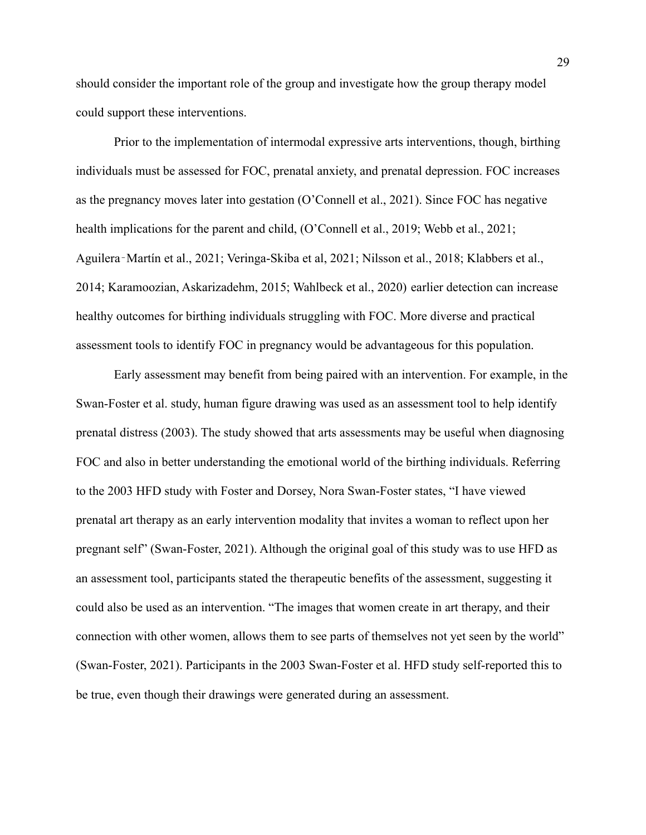should consider the important role of the group and investigate how the group therapy model could support these interventions.

Prior to the implementation of intermodal expressive arts interventions, though, birthing individuals must be assessed for FOC, prenatal anxiety, and prenatal depression. FOC increases as the pregnancy moves later into gestation (O'Connell et al., 2021). Since FOC has negative health implications for the parent and child, (O'Connell et al., 2019; Webb et al., 2021; Aguilera‐Martín et al., 2021; Veringa-Skiba et al, 2021; Nilsson et al., 2018; Klabbers et al., 2014; Karamoozian, Askarizadehm, 2015; Wahlbeck et al., 2020) earlier detection can increase healthy outcomes for birthing individuals struggling with FOC. More diverse and practical assessment tools to identify FOC in pregnancy would be advantageous for this population.

Early assessment may benefit from being paired with an intervention. For example, in the Swan-Foster et al. study, human figure drawing was used as an assessment tool to help identify prenatal distress (2003). The study showed that arts assessments may be useful when diagnosing FOC and also in better understanding the emotional world of the birthing individuals. Referring to the 2003 HFD study with Foster and Dorsey, Nora Swan-Foster states, "I have viewed prenatal art therapy as an early intervention modality that invites a woman to reflect upon her pregnant self" (Swan-Foster, 2021). Although the original goal of this study was to use HFD as an assessment tool, participants stated the therapeutic benefits of the assessment, suggesting it could also be used as an intervention. "The images that women create in art therapy, and their connection with other women, allows them to see parts of themselves not yet seen by the world" (Swan-Foster, 2021). Participants in the 2003 Swan-Foster et al. HFD study self-reported this to be true, even though their drawings were generated during an assessment.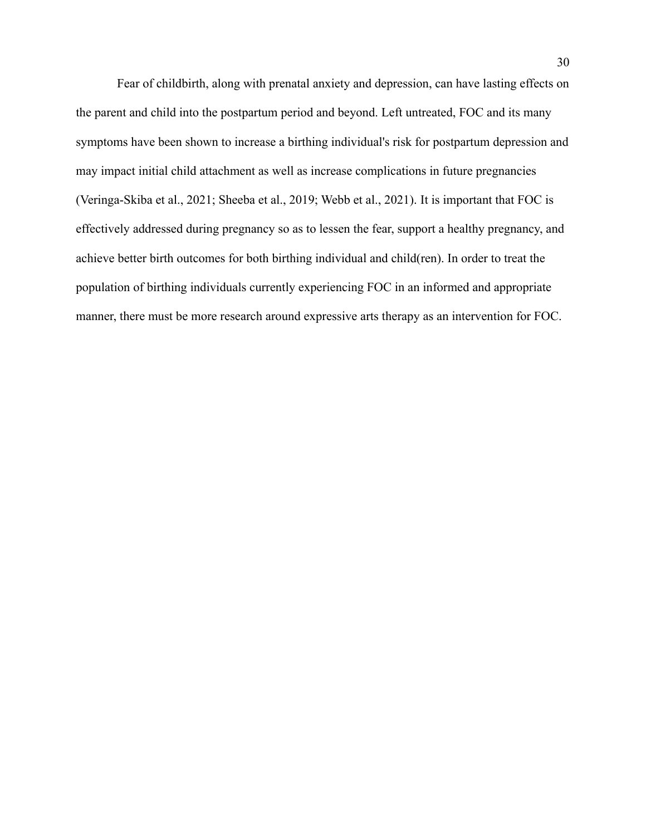Fear of childbirth, along with prenatal anxiety and depression, can have lasting effects on the parent and child into the postpartum period and beyond. Left untreated, FOC and its many symptoms have been shown to increase a birthing individual's risk for postpartum depression and may impact initial child attachment as well as increase complications in future pregnancies (Veringa-Skiba et al., 2021; Sheeba et al., 2019; Webb et al., 2021). It is important that FOC is effectively addressed during pregnancy so as to lessen the fear, support a healthy pregnancy, and achieve better birth outcomes for both birthing individual and child(ren). In order to treat the population of birthing individuals currently experiencing FOC in an informed and appropriate manner, there must be more research around expressive arts therapy as an intervention for FOC.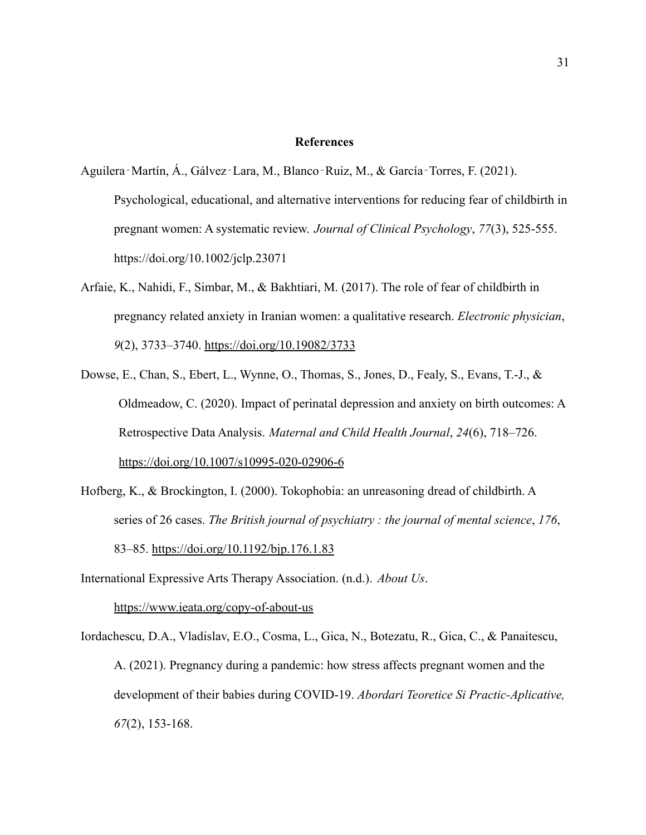#### **References**

- Aguilera‐Martín, Á., Gálvez‐Lara, M., Blanco‐Ruiz, M., & García‐Torres, F. (2021). Psychological, educational, and alternative interventions for reducing fear of childbirth in pregnant women: A systematic review. *Journal of Clinical Psychology*, *77*(3), 525-555. <https://doi.org/10.1002/jclp.23071>
- Arfaie, K., Nahidi, F., Simbar, M., & Bakhtiari, M. (2017). The role of fear of childbirth in pregnancy related anxiety in Iranian women: a qualitative research. *Electronic physician*, *9*(2), 3733–3740. <https://doi.org/10.19082/3733>
- Dowse, E., Chan, S., Ebert, L., Wynne, O., Thomas, S., Jones, D., Fealy, S., Evans, T.-J., & Oldmeadow, C. (2020). Impact of perinatal depression and anxiety on birth outcomes: A Retrospective Data Analysis. *Maternal and Child Health Journal*, *24*(6), 718–726. <https://doi.org/10.1007/s10995-020-02906-6>
- Hofberg, K., & Brockington, I. (2000). Tokophobia: an unreasoning dread of childbirth. A series of 26 cases. *The British journal of psychiatry : the journal of mental science*, *176*, 83–85. <https://doi.org/10.1192/bjp.176.1.83>
- International Expressive Arts Therapy Association. (n.d.). *About Us*. <https://www.ieata.org/copy-of-about-us>
- Iordachescu, D.A., Vladislav, E.O., Cosma, L., Gica, N., Botezatu, R., Gica, C., & Panaitescu, A. (2021). Pregnancy during a pandemic: how stress affects pregnant women and the development of their babies during COVID-19. *Abordari Teoretice Si Practic-Aplicative, 67*(2), 153-168.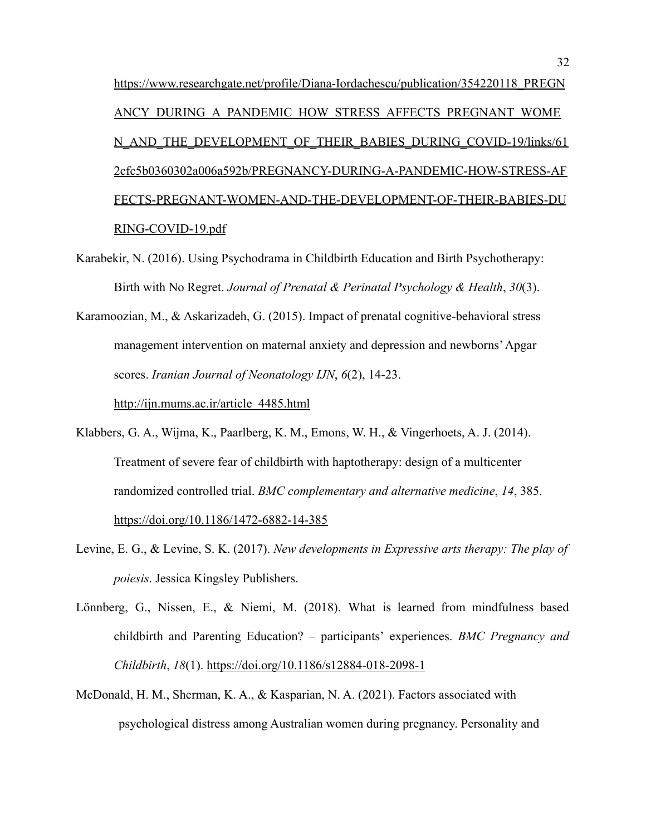[https://www.researchgate.net/profile/Diana-Iordachescu/publication/354220118\\_PREGN](https://www.researchgate.net/profile/Diana-Iordachescu/publication/354220118_PREGNANCY_DURING_A_PANDEMIC_HOW_STRESS_AFFECTS_PREGNANT_WOMEN_AND_THE_DEVELOPMENT_OF_THEIR_BABIES_DURING_COVID-19/links/612cfc5b0360302a006a592b/PREGNANCY-DURING-A-PANDEMIC-HOW-STRESS-AFFECTS-PREGNANT-WOMEN-AND-THE-DEVELOPMENT-OF-THEIR-BABIES-DURING-COVID-19.pdf) ANCY DURING A PANDEMIC HOW STRESS AFFECTS PREGNANT WOME [N\\_AND\\_THE\\_DEVELOPMENT\\_OF\\_THEIR\\_BABIES\\_DURING\\_COVID-19/links/61](https://www.researchgate.net/profile/Diana-Iordachescu/publication/354220118_PREGNANCY_DURING_A_PANDEMIC_HOW_STRESS_AFFECTS_PREGNANT_WOMEN_AND_THE_DEVELOPMENT_OF_THEIR_BABIES_DURING_COVID-19/links/612cfc5b0360302a006a592b/PREGNANCY-DURING-A-PANDEMIC-HOW-STRESS-AFFECTS-PREGNANT-WOMEN-AND-THE-DEVELOPMENT-OF-THEIR-BABIES-DURING-COVID-19.pdf) [2cfc5b0360302a006a592b/PREGNANCY-DURING-A-PANDEMIC-HOW-STRESS-AF](https://www.researchgate.net/profile/Diana-Iordachescu/publication/354220118_PREGNANCY_DURING_A_PANDEMIC_HOW_STRESS_AFFECTS_PREGNANT_WOMEN_AND_THE_DEVELOPMENT_OF_THEIR_BABIES_DURING_COVID-19/links/612cfc5b0360302a006a592b/PREGNANCY-DURING-A-PANDEMIC-HOW-STRESS-AFFECTS-PREGNANT-WOMEN-AND-THE-DEVELOPMENT-OF-THEIR-BABIES-DURING-COVID-19.pdf) [FECTS-PREGNANT-WOMEN-AND-THE-DEVELOPMENT-OF-THEIR-BABIES-DU](https://www.researchgate.net/profile/Diana-Iordachescu/publication/354220118_PREGNANCY_DURING_A_PANDEMIC_HOW_STRESS_AFFECTS_PREGNANT_WOMEN_AND_THE_DEVELOPMENT_OF_THEIR_BABIES_DURING_COVID-19/links/612cfc5b0360302a006a592b/PREGNANCY-DURING-A-PANDEMIC-HOW-STRESS-AFFECTS-PREGNANT-WOMEN-AND-THE-DEVELOPMENT-OF-THEIR-BABIES-DURING-COVID-19.pdf) [RING-COVID-19.pdf](https://www.researchgate.net/profile/Diana-Iordachescu/publication/354220118_PREGNANCY_DURING_A_PANDEMIC_HOW_STRESS_AFFECTS_PREGNANT_WOMEN_AND_THE_DEVELOPMENT_OF_THEIR_BABIES_DURING_COVID-19/links/612cfc5b0360302a006a592b/PREGNANCY-DURING-A-PANDEMIC-HOW-STRESS-AFFECTS-PREGNANT-WOMEN-AND-THE-DEVELOPMENT-OF-THEIR-BABIES-DURING-COVID-19.pdf)

- Karabekir, N. (2016). Using Psychodrama in Childbirth Education and Birth Psychotherapy: Birth with No Regret. *Journal of Prenatal & Perinatal Psychology & Health*, *30*(3).
- Karamoozian, M., & Askarizadeh, G. (2015). Impact of prenatal cognitive-behavioral stress management intervention on maternal anxiety and depression and newborns' Apgar scores. *Iranian Journal of Neonatology IJN*, *6*(2), 14-23.

[http://ijn.mums.ac.ir/article\\_4485.html](http://ijn.mums.ac.ir/article_4485.html)

- Klabbers, G. A., Wijma, K., Paarlberg, K. M., Emons, W. H., & Vingerhoets, A. J. (2014). Treatment of severe fear of childbirth with haptotherapy: design of a multicenter randomized controlled trial. *BMC complementary and alternative medicine*, *14*, 385. <https://doi.org/10.1186/1472-6882-14-385>
- Levine, E. G., & Levine, S. K. (2017). *New developments in Expressive arts therapy: The play of poiesis*. Jessica Kingsley Publishers.
- Lönnberg, G., Nissen, E., & Niemi, M. (2018). What is learned from mindfulness based childbirth and Parenting Education? – participants' experiences. *BMC Pregnancy and Childbirth*, *18*(1). <https://doi.org/10.1186/s12884-018-2098-1>
- McDonald, H. M., Sherman, K. A., & Kasparian, N. A. (2021). Factors associated with psychological distress among Australian women during pregnancy. Personality and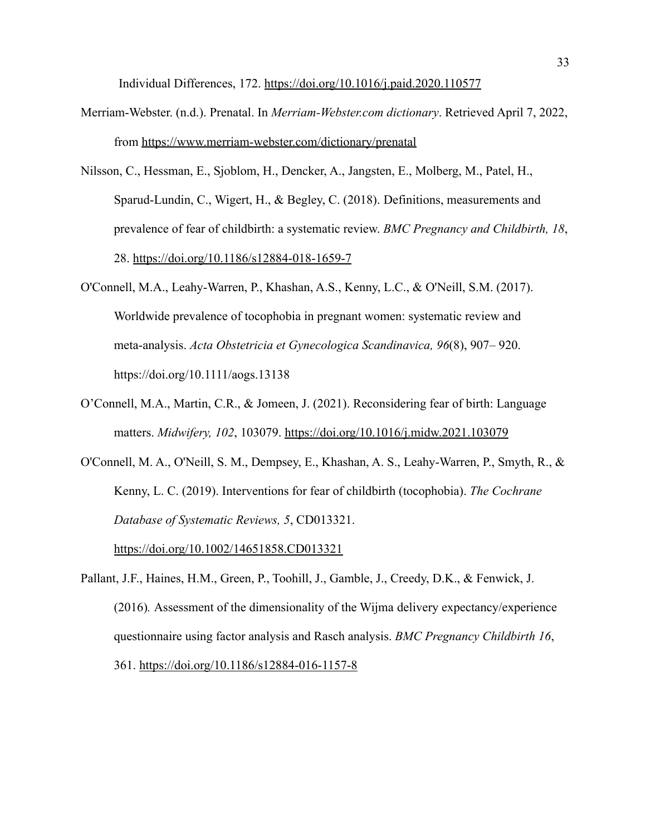Individual Differences, 172. <https://doi.org/10.1016/j.paid.2020.110577>

- Merriam-Webster. (n.d.). Prenatal. In *Merriam-Webster.com dictionary*. Retrieved April 7, 2022, from <https://www.merriam-webster.com/dictionary/prenatal>
- Nilsson, C., Hessman, E., Sjoblom, H., Dencker, A., Jangsten, E., Molberg, M., Patel, H., Sparud-Lundin, C., Wigert, H., & Begley, C. (2018). Definitions, measurements and prevalence of fear of childbirth: a systematic review. *BMC Pregnancy and Childbirth, 18*, 28. <https://doi.org/10.1186/s12884-018-1659-7>
- O'Connell, M.A., Leahy-Warren, P., Khashan, A.S., Kenny, L.C., & O'Neill, S.M. (2017). Worldwide prevalence of tocophobia in pregnant women: systematic review and meta-analysis. *Acta Obstetricia et Gynecologica Scandinavica, 96*(8), 907– 920. <https://doi.org/10.1111/aogs.13138>
- O'Connell, M.A., Martin, C.R., & Jomeen, J. (2021). Reconsidering fear of birth: Language matters. *Midwifery, 102*, 103079. [https://doi.org/10.1016/j.midw.2021.103079](https://www.sciencedirect.com/science/article/abs/pii/S0266613821001595#!)
- O'Connell, M. A., O'Neill, S. M., Dempsey, E., Khashan, A. S., Leahy-Warren, P., Smyth, R., & Kenny, L. C. (2019). Interventions for fear of childbirth (tocophobia). *The Cochrane Database of Systematic Reviews, 5*, CD013321.

<https://doi.org/10.1002/14651858.CD013321>

Pallant, J.F., Haines, H.M., Green, P., Toohill, J., Gamble, J., Creedy, D.K., & Fenwick, J. (2016)*.* Assessment of the dimensionality of the Wijma delivery expectancy/experience questionnaire using factor analysis and Rasch analysis. *BMC Pregnancy Childbirth 16*, 361. <https://doi.org/10.1186/s12884-016-1157-8>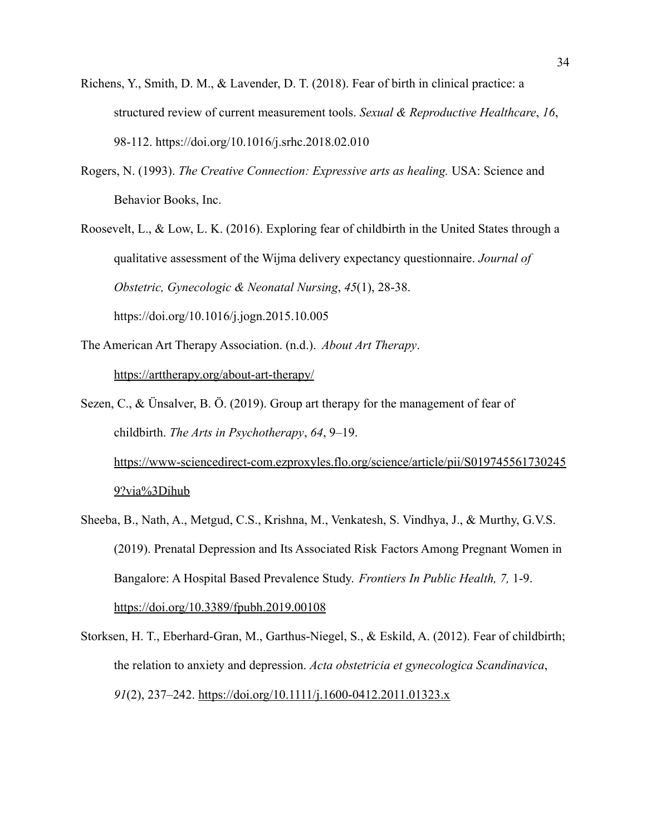- Richens, Y., Smith, D. M., & Lavender, D. T. (2018). Fear of birth in clinical practice: a structured review of current measurement tools. *Sexual & Reproductive Healthcare*, *16*, 98-112. <https://doi.org/10.1016/j.srhc.2018.02.010>
- Rogers, N. (1993). *The Creative Connection: Expressive arts as healing.* USA: Science and Behavior Books, Inc.
- Roosevelt, L., & Low, L. K. (2016). Exploring fear of childbirth in the United States through a qualitative assessment of the Wijma delivery expectancy questionnaire. *Journal of Obstetric, Gynecologic & Neonatal Nursing*, *45*(1), 28-38. <https://doi.org/10.1016/j.jogn.2015.10.005>
- The American Art Therapy Association. (n.d.). *About Art Therapy*. <https://arttherapy.org/about-art-therapy/>
- Sezen, C., & Ünsalver, B. Ö. (2019). Group art therapy for the management of fear of childbirth. *The Arts in Psychotherapy*, *64*, 9–19.

[https://www-sciencedirect-com.ezproxyles.flo.org/science/article/pii/S019745561730245](https://www-sciencedirect-com.ezproxyles.flo.org/science/article/pii/S0197455617302459?via%3Dihub) [9?via%3Dihub](https://www-sciencedirect-com.ezproxyles.flo.org/science/article/pii/S0197455617302459?via%3Dihub)

- Sheeba, B., Nath, A., Metgud, C.S., Krishna, M., Venkatesh, S. Vindhya, J., & Murthy, G.V.S. (2019). Prenatal Depression and Its Associated Risk Factors Among Pregnant Women in Bangalore: A Hospital Based Prevalence Study. *Frontiers In Public Health, 7,* 1-9. <https://doi.org/10.3389/fpubh.2019.00108>
- Storksen, H. T., Eberhard-Gran, M., Garthus-Niegel, S., & Eskild, A. (2012). Fear of childbirth; the relation to anxiety and depression. *Acta obstetricia et gynecologica Scandinavica*, *91*(2), 237–242. <https://doi.org/10.1111/j.1600-0412.2011.01323.x>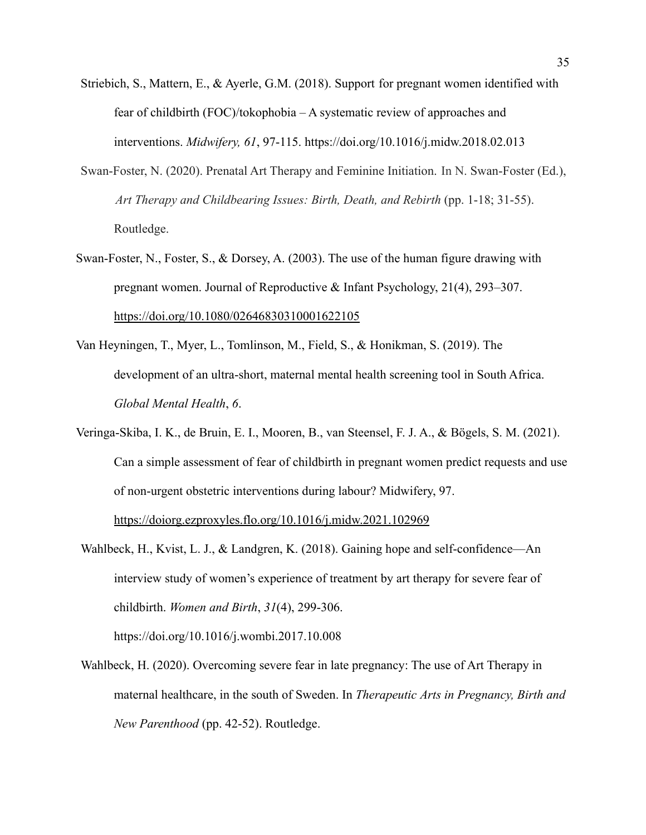- Striebich, S., Mattern, E., & Ayerle, G.M. (2018). Support for pregnant women identified with fear of childbirth (FOC)/tokophobia – A systematic review of approaches and interventions. *Midwifery, 61*, 97-115. <https://doi.org/10.1016/j.midw.2018.02.013>
- Swan-Foster, N. (2020). Prenatal Art Therapy and Feminine Initiation. In N. Swan-Foster (Ed.), *Art Therapy and Childbearing Issues: Birth, Death, and Rebirth* (pp. 1-18; 31-55). Routledge.
- Swan-Foster, N., Foster, S., & Dorsey, A. (2003). The use of the human figure drawing with pregnant women. Journal of Reproductive & Infant Psychology, 21(4), 293–307. <https://doi.org/10.1080/02646830310001622105>
- Van Heyningen, T., Myer, L., Tomlinson, M., Field, S., & Honikman, S. (2019). The development of an ultra-short, maternal mental health screening tool in South Africa. *Global Mental Health*, *6*.
- Veringa-Skiba, I. K., de Bruin, E. I., Mooren, B., van Steensel, F. J. A., & Bögels, S. M. (2021). Can a simple assessment of fear of childbirth in pregnant women predict requests and use of non-urgent obstetric interventions during labour? Midwifery, 97.

<https://doiorg.ezproxyles.flo.org/10.1016/j.midw.2021.102969>

Wahlbeck, H., Kvist, L. J., & Landgren, K. (2018). Gaining hope and self-confidence—An interview study of women's experience of treatment by art therapy for severe fear of childbirth. *Women and Birth*, *31*(4), 299-306.

<https://doi.org/10.1016/j.wombi.2017.10.008>

Wahlbeck, H. (2020). Overcoming severe fear in late pregnancy: The use of Art Therapy in maternal healthcare, in the south of Sweden. In *Therapeutic Arts in Pregnancy, Birth and New Parenthood* (pp. 42-52). Routledge.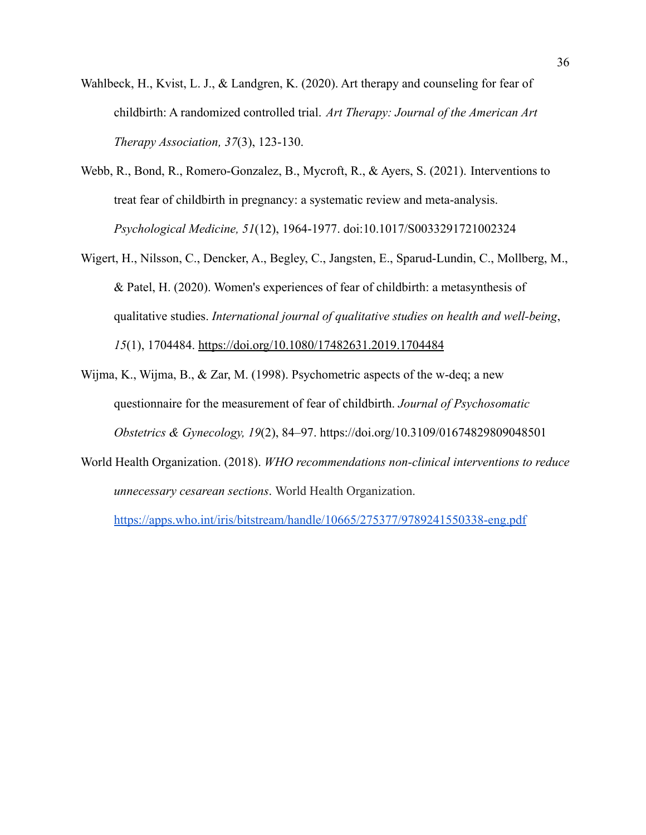- Wahlbeck, H., Kvist, L. J., & Landgren, K. (2020). Art therapy and counseling for fear of childbirth: A randomized controlled trial. *Art Therapy: Journal of the American Art Therapy Association, 37*(3), 123-130.
- Webb, R., Bond, R., Romero-Gonzalez, B., Mycroft, R., & Ayers, S. (2021). Interventions to treat fear of childbirth in pregnancy: a systematic review and meta-analysis. *Psychological Medicine, 51*(12), 1964-1977. doi:10.1017/S0033291721002324
- Wigert, H., Nilsson, C., Dencker, A., Begley, C., Jangsten, E., Sparud-Lundin, C., Mollberg, M., & Patel, H. (2020). Women's experiences of fear of childbirth: a metasynthesis of qualitative studies. *International journal of qualitative studies on health and well-being*, *15*(1), 1704484. <https://doi.org/10.1080/17482631.2019.1704484>
- Wijma, K., Wijma, B., & Zar, M. (1998). Psychometric aspects of the w-deq; a new questionnaire for the measurement of fear of childbirth. *Journal of Psychosomatic Obstetrics & Gynecology, 19*(2), 84–97. <https://doi.org/10.3109/01674829809048501>
- World Health Organization. (2018). *WHO recommendations non-clinical interventions to reduce unnecessary cesarean sections*. World Health Organization.

<https://apps.who.int/iris/bitstream/handle/10665/275377/9789241550338-eng.pdf>